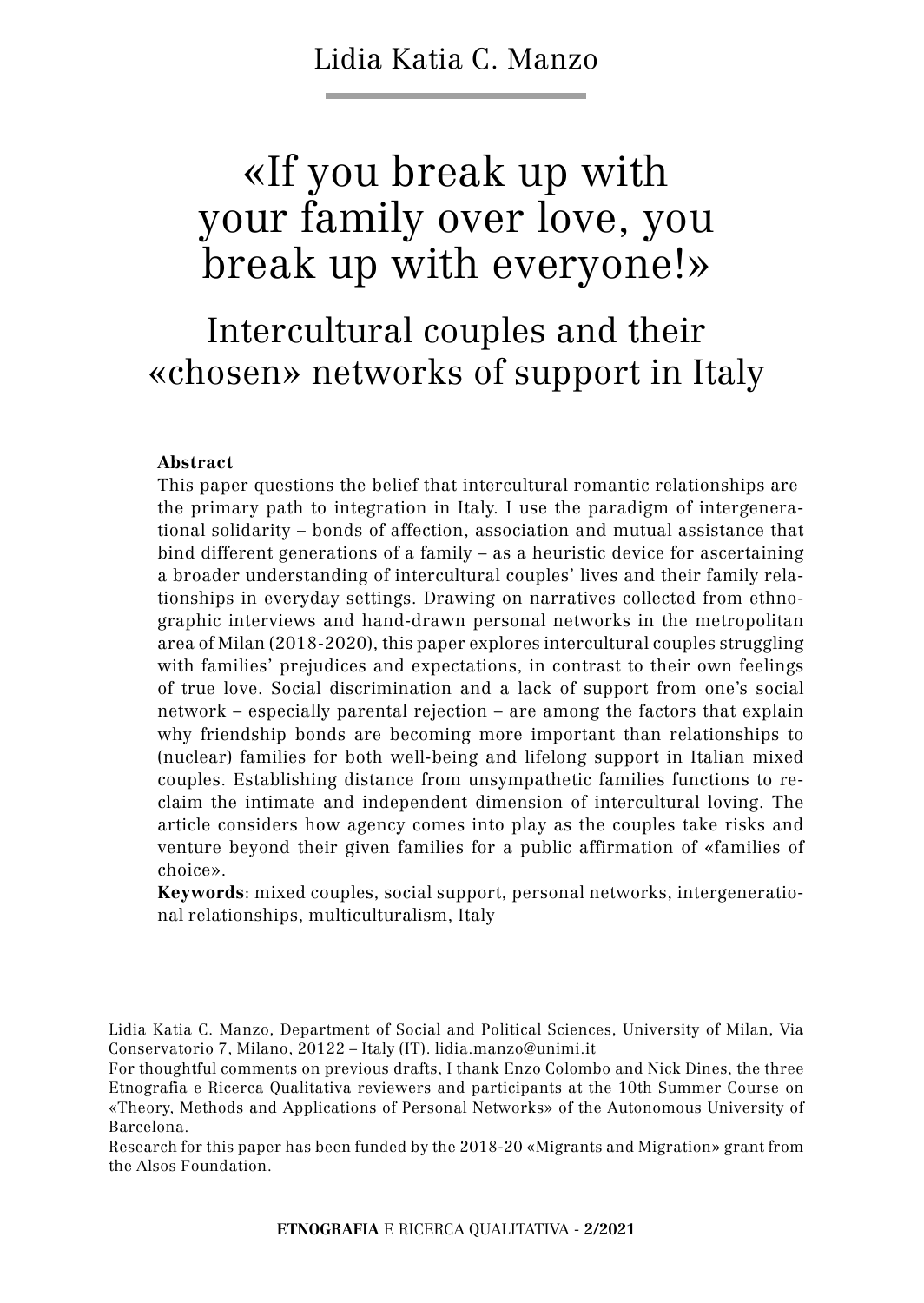Lidia Katia C. Manzo

# «If you break up with your family over love, you break up with everyone!»

## Intercultural couples and their «chosen» networks of support in Italy

#### **Abstract**

This paper questions the belief that intercultural romantic relationships are the primary path to integration in Italy. I use the paradigm of intergenerational solidarity – bonds of affection, association and mutual assistance that bind different generations of a family – as a heuristic device for ascertaining a broader understanding of intercultural couples' lives and their family relationships in everyday settings. Drawing on narratives collected from ethnographic interviews and hand-drawn personal networks in the metropolitan area of Milan (2018-2020), this paper explores intercultural couples struggling with families' prejudices and expectations, in contrast to their own feelings of true love. Social discrimination and a lack of support from one's social network – especially parental rejection – are among the factors that explain why friendship bonds are becoming more important than relationships to (nuclear) families for both well-being and lifelong support in Italian mixed couples. Establishing distance from unsympathetic families functions to reclaim the intimate and independent dimension of intercultural loving. The article considers how agency comes into play as the couples take risks and venture beyond their given families for a public affirmation of «families of choice».

**Keywords**: mixed couples, social support, personal networks, intergenerational relationships, multiculturalism, Italy

Research for this paper has been funded by the 2018-20 «Migrants and Migration» grant from the Alsos Foundation.

Lidia Katia C. Manzo, Department of Social and Political Sciences, University of Milan, Via Conservatorio 7, Milano, 20122 – Italy (IT). lidia.manzo@unimi.it

For thoughtful comments on previous drafts, I thank Enzo Colombo and Nick Dines, the three Etnografia e Ricerca Qualitativa reviewers and participants at the 10th Summer Course on «Theory, Methods and Applications of Personal Networks» of the Autonomous University of Barcelona.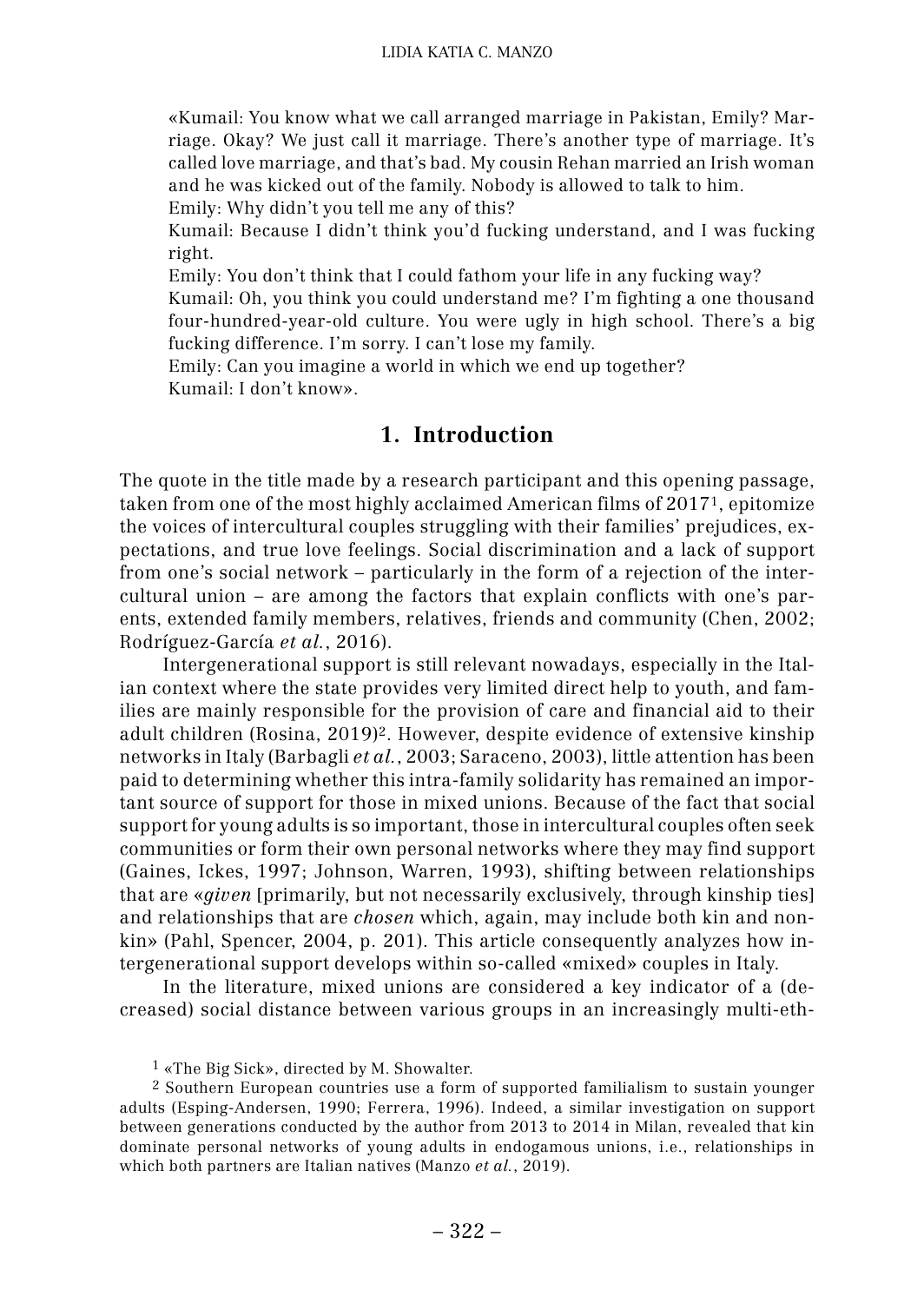«Kumail: You know what we call arranged marriage in Pakistan, Emily? Marriage. Okay? We just call it marriage. There's another type of marriage. It's called love marriage, and that's bad. My cousin Rehan married an Irish woman and he was kicked out of the family. Nobody is allowed to talk to him.

Emily: Why didn't you tell me any of this?

Kumail: Because I didn't think you'd fucking understand, and I was fucking right.

Emily: You don't think that I could fathom your life in any fucking way?

Kumail: Oh, you think you could understand me? I'm fighting a one thousand four-hundred-year-old culture. You were ugly in high school. There's a big fucking difference. I'm sorry. I can't lose my family.

Emily: Can you imagine a world in which we end up together? Kumail: I don't know».

## **1. 1. Introduction**

The quote in the title made by a research participant and this opening passage, taken from one of the most highly acclaimed American films of 20171, epitomize the voices of intercultural couples struggling with their families' prejudices, expectations, and true love feelings. Social discrimination and a lack of support from one's social network – particularly in the form of a rejection of the intercultural union – are among the factors that explain conflicts with one's parents, extended family members, relatives, friends and community (Chen, 2002; Rodríguez-García *et al.*, 2016).

Intergenerational support is still relevant nowadays, especially in the Italian context where the state provides very limited direct help to youth, and families are mainly responsible for the provision of care and financial aid to their adult children (Rosina, 2019)2. However, despite evidence of extensive kinship networks in Italy (Barbagli *et al.*, 2003; Saraceno, 2003), little attention has been paid to determining whether this intra-family solidarity has remained an important source of support for those in mixed unions. Because of the fact that social support for young adults is so important, those in intercultural couples often seek communities or form their own personal networks where they may find support (Gaines, Ickes, 1997; Johnson, Warren, 1993), shifting between relationships that are «*given* [primarily, but not necessarily exclusively, through kinship ties] and relationships that are *chosen* which, again, may include both kin and nonkin» (Pahl, Spencer, 2004, p. 201). This article consequently analyzes how intergenerational support develops within so-called «mixed» couples in Italy.

In the literature, mixed unions are considered a key indicator of a (decreased) social distance between various groups in an increasingly multi-eth-

<sup>1</sup> «The Big Sick», directed by M. Showalter.

<sup>2</sup> Southern European countries use a form of supported familialism to sustain younger adults (Esping-Andersen, 1990; Ferrera, 1996). Indeed, a similar investigation on support between generations conducted by the author from 2013 to 2014 in Milan, revealed that kin dominate personal networks of young adults in endogamous unions, i.e., relationships in which both partners are Italian natives (Manzo *et al.*, 2019).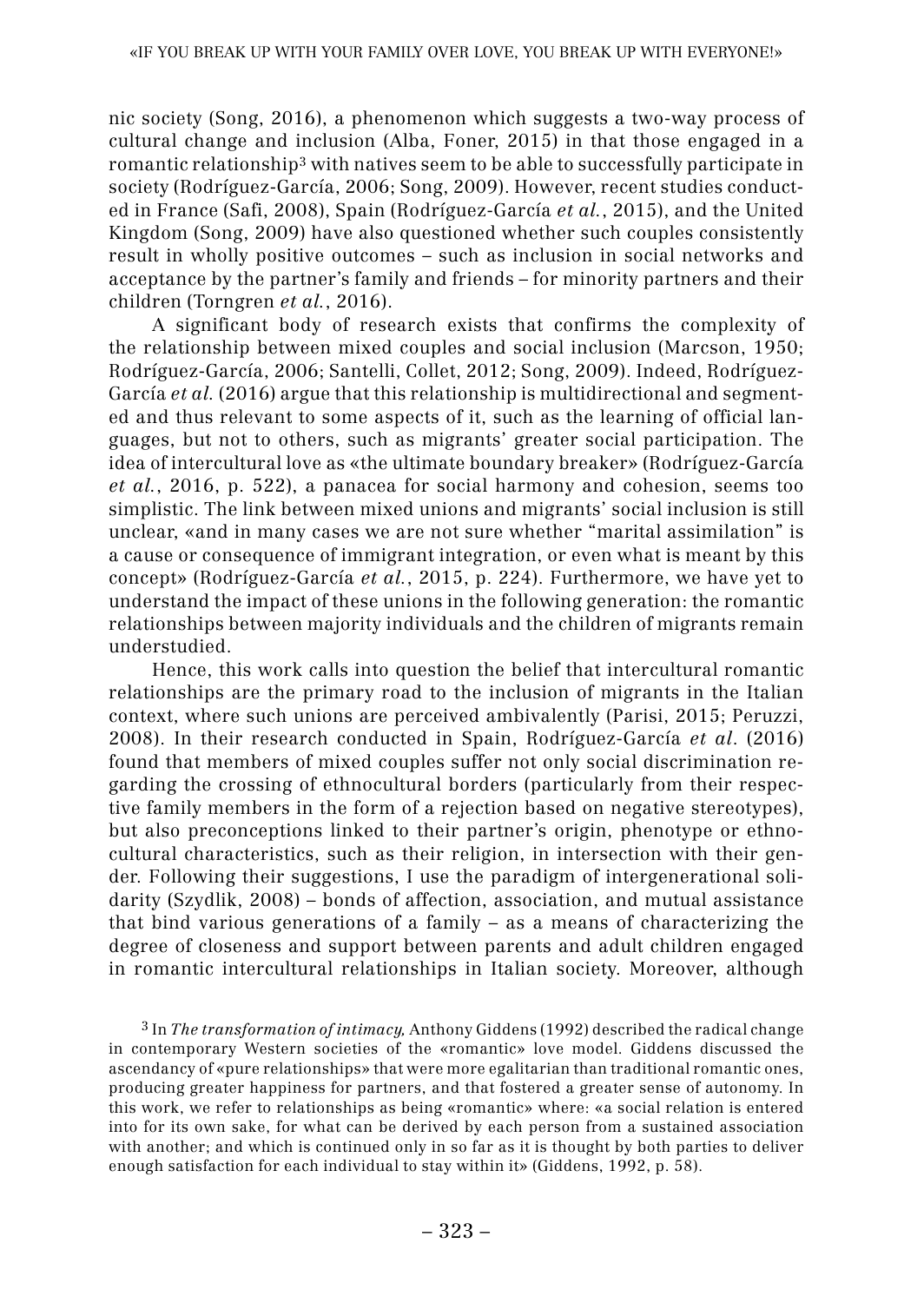nic society (Song, 2016), a phenomenon which suggests a two-way process of cultural change and inclusion (Alba, Foner, 2015) in that those engaged in a romantic relationship3 with natives seem to be able to successfully participate in society (Rodríguez-García, 2006; Song, 2009). However, recent studies conducted in France (Safi, 2008), Spain (Rodríguez-García *et al.*, 2015), and the United Kingdom (Song, 2009) have also questioned whether such couples consistently result in wholly positive outcomes – such as inclusion in social networks and acceptance by the partner's family and friends – for minority partners and their children (Torngren *et al.*, 2016).

A significant body of research exists that confirms the complexity of the relationship between mixed couples and social inclusion (Marcson, 1950; Rodríguez-García, 2006; Santelli, Collet, 2012; Song, 2009). Indeed, Rodríguez-García *et al.* (2016) argue that this relationship is multidirectional and segmented and thus relevant to some aspects of it, such as the learning of official languages, but not to others, such as migrants' greater social participation. The idea of intercultural love as «the ultimate boundary breaker» (Rodríguez-García *et al.*, 2016, p. 522), a panacea for social harmony and cohesion, seems too simplistic. The link between mixed unions and migrants' social inclusion is still unclear, «and in many cases we are not sure whether "marital assimilation" is a cause or consequence of immigrant integration, or even what is meant by this concept» (Rodríguez-García *et al.*, 2015, p. 224). Furthermore, we have yet to understand the impact of these unions in the following generation: the romantic relationships between majority individuals and the children of migrants remain understudied.

Hence, this work calls into question the belief that intercultural romantic relationships are the primary road to the inclusion of migrants in the Italian context, where such unions are perceived ambivalently (Parisi, 2015; Peruzzi, 2008). In their research conducted in Spain, Rodríguez-García *et al*. (2016) found that members of mixed couples suffer not only social discrimination regarding the crossing of ethnocultural borders (particularly from their respective family members in the form of a rejection based on negative stereotypes), but also preconceptions linked to their partner's origin, phenotype or ethnocultural characteristics, such as their religion, in intersection with their gender. Following their suggestions, I use the paradigm of intergenerational solidarity (Szydlik, 2008) – bonds of affection, association, and mutual assistance that bind various generations of a family – as a means of characterizing the degree of closeness and support between parents and adult children engaged in romantic intercultural relationships in Italian society. Moreover, although

3 In *The transformation of intimacy,* Anthony Giddens (1992) described the radical change in contemporary Western societies of the «romantic» love model. Giddens discussed the ascendancy of «pure relationships» that were more egalitarian than traditional romantic ones, producing greater happiness for partners, and that fostered a greater sense of autonomy. In this work, we refer to relationships as being «romantic» where: «a social relation is entered into for its own sake, for what can be derived by each person from a sustained association with another; and which is continued only in so far as it is thought by both parties to deliver enough satisfaction for each individual to stay within it» (Giddens, 1992, p. 58).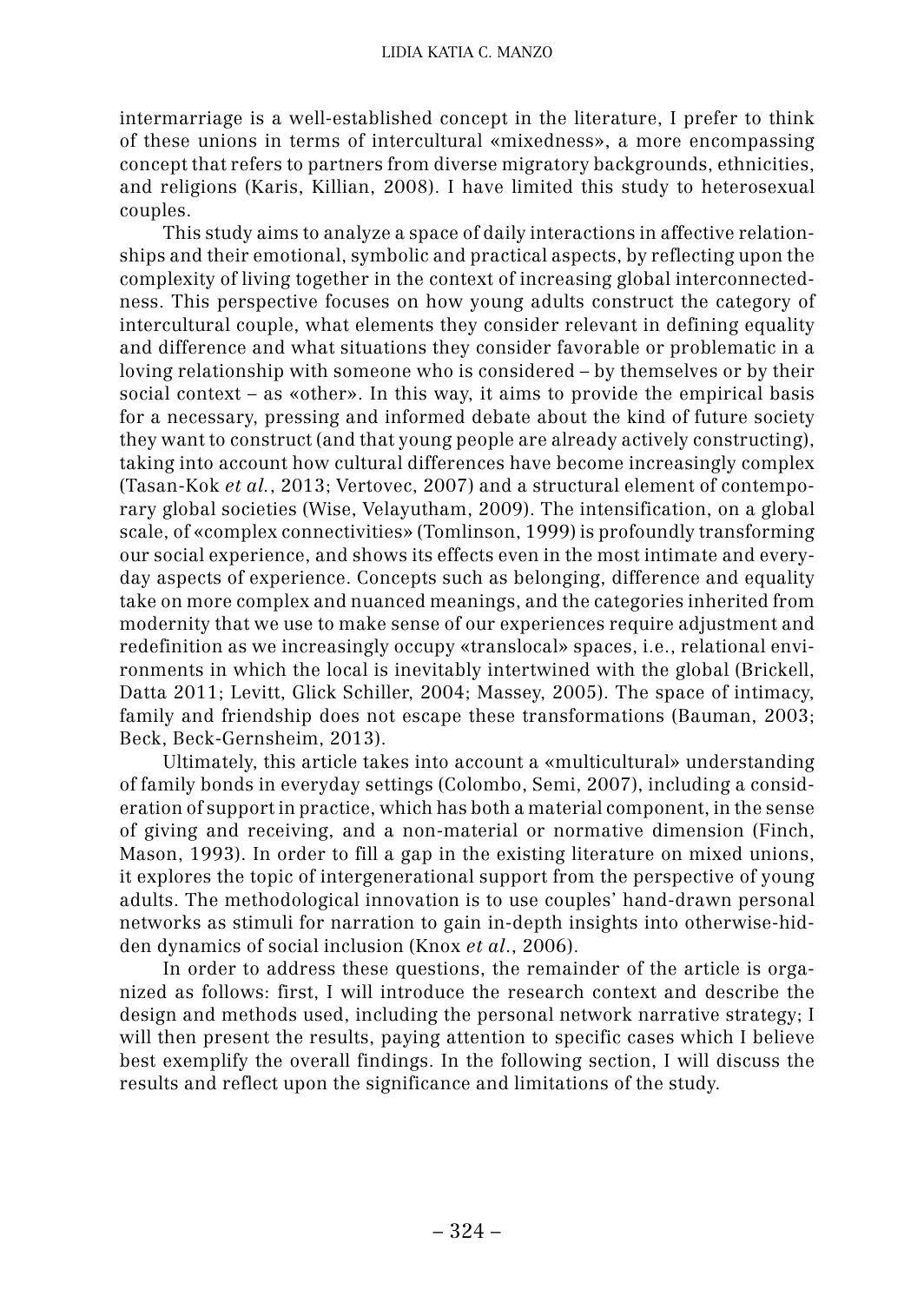intermarriage is a well-established concept in the literature, I prefer to think of these unions in terms of intercultural «mixedness», a more encompassing concept that refers to partners from diverse migratory backgrounds, ethnicities, and religions (Karis, Killian, 2008). I have limited this study to heterosexual couples.

This study aims to analyze a space of daily interactions in affective relationships and their emotional, symbolic and practical aspects, by reflecting upon the complexity of living together in the context of increasing global interconnectedness. This perspective focuses on how young adults construct the category of intercultural couple, what elements they consider relevant in defining equality and difference and what situations they consider favorable or problematic in a loving relationship with someone who is considered – by themselves or by their social context – as «other». In this way, it aims to provide the empirical basis for a necessary, pressing and informed debate about the kind of future society they want to construct (and that young people are already actively constructing), taking into account how cultural differences have become increasingly complex (Tasan-Kok *et al.*, 2013; Vertovec, 2007) and a structural element of contemporary global societies (Wise, Velayutham, 2009). The intensification, on a global scale, of «complex connectivities» (Tomlinson, 1999) is profoundly transforming our social experience, and shows its effects even in the most intimate and everyday aspects of experience. Concepts such as belonging, difference and equality take on more complex and nuanced meanings, and the categories inherited from modernity that we use to make sense of our experiences require adjustment and redefinition as we increasingly occupy «translocal» spaces, i.e., relational environments in which the local is inevitably intertwined with the global (Brickell, Datta 2011; Levitt, Glick Schiller, 2004; Massey, 2005). The space of intimacy, family and friendship does not escape these transformations (Bauman, 2003; Beck, Beck-Gernsheim, 2013).

Ultimately, this article takes into account a «multicultural» understanding of family bonds in everyday settings (Colombo, Semi, 2007), including a consideration of support in practice, which has both a material component, in the sense of giving and receiving, and a non-material or normative dimension (Finch, Mason, 1993). In order to fill a gap in the existing literature on mixed unions, it explores the topic of intergenerational support from the perspective of young adults. The methodological innovation is to use couples' hand-drawn personal networks as stimuli for narration to gain in-depth insights into otherwise-hidden dynamics of social inclusion (Knox *et al*., 2006).

In order to address these questions, the remainder of the article is organized as follows: first, I will introduce the research context and describe the design and methods used, including the personal network narrative strategy; I will then present the results, paying attention to specific cases which I believe best exemplify the overall findings. In the following section, I will discuss the results and reflect upon the significance and limitations of the study.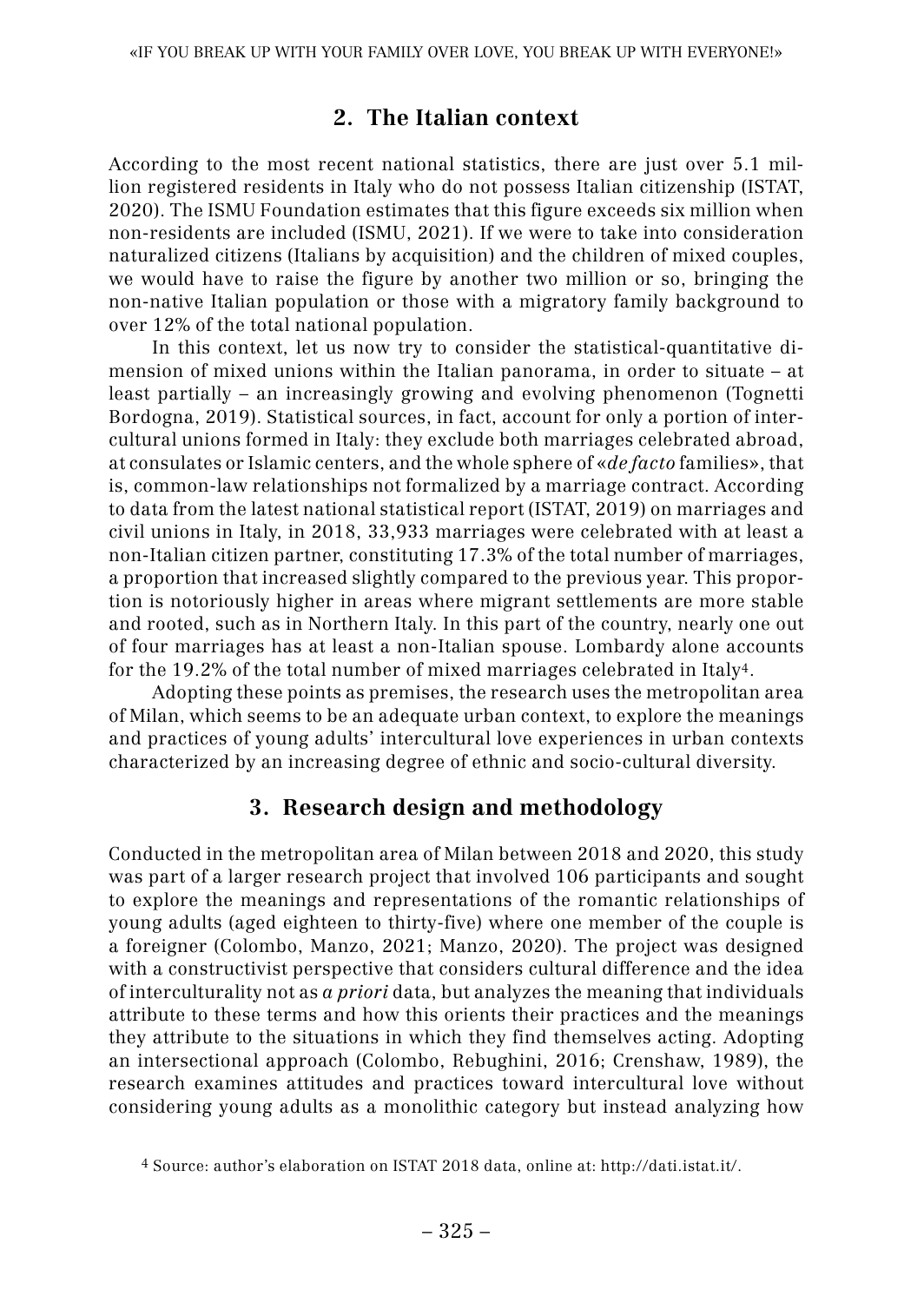## **2. 2. The Italian context**

According to the most recent national statistics, there are just over 5.1 million registered residents in Italy who do not possess Italian citizenship (ISTAT, 2020). The ISMU Foundation estimates that this figure exceeds six million when non-residents are included (ISMU, 2021). If we were to take into consideration naturalized citizens (Italians by acquisition) and the children of mixed couples, we would have to raise the figure by another two million or so, bringing the non-native Italian population or those with a migratory family background to over 12% of the total national population.

In this context, let us now try to consider the statistical-quantitative dimension of mixed unions within the Italian panorama, in order to situate – at least partially – an increasingly growing and evolving phenomenon (Tognetti Bordogna, 2019). Statistical sources, in fact, account for only a portion of intercultural unions formed in Italy: they exclude both marriages celebrated abroad, at consulates or Islamic centers, and the whole sphere of «*de facto* families», that is, common-law relationships not formalized by a marriage contract. According to data from the latest national statistical report (ISTAT, 2019) on marriages and civil unions in Italy, in 2018, 33,933 marriages were celebrated with at least a non-Italian citizen partner, constituting 17.3% of the total number of marriages, a proportion that increased slightly compared to the previous year. This proportion is notoriously higher in areas where migrant settlements are more stable and rooted, such as in Northern Italy. In this part of the country, nearly one out of four marriages has at least a non-Italian spouse. Lombardy alone accounts for the 19.2% of the total number of mixed marriages celebrated in Italy4.

Adopting these points as premises, the research uses the metropolitan area of Milan, which seems to be an adequate urban context, to explore the meanings and practices of young adults' intercultural love experiences in urban contexts characterized by an increasing degree of ethnic and socio-cultural diversity.

## **3. 3. Research design and methodology**

Conducted in the metropolitan area of Milan between 2018 and 2020, this study was part of a larger research project that involved 106 participants and sought to explore the meanings and representations of the romantic relationships of young adults (aged eighteen to thirty-five) where one member of the couple is a foreigner (Colombo, Manzo, 2021; Manzo, 2020). The project was designed with a constructivist perspective that considers cultural difference and the idea of interculturality not as *a priori* data, but analyzes the meaning that individuals attribute to these terms and how this orients their practices and the meanings they attribute to the situations in which they find themselves acting. Adopting an intersectional approach (Colombo, Rebughini, 2016; Crenshaw, 1989), the research examines attitudes and practices toward intercultural love without considering young adults as a monolithic category but instead analyzing how

<sup>4</sup> Source: author's elaboration on ISTAT 2018 data, online at: http://dati.istat.it/.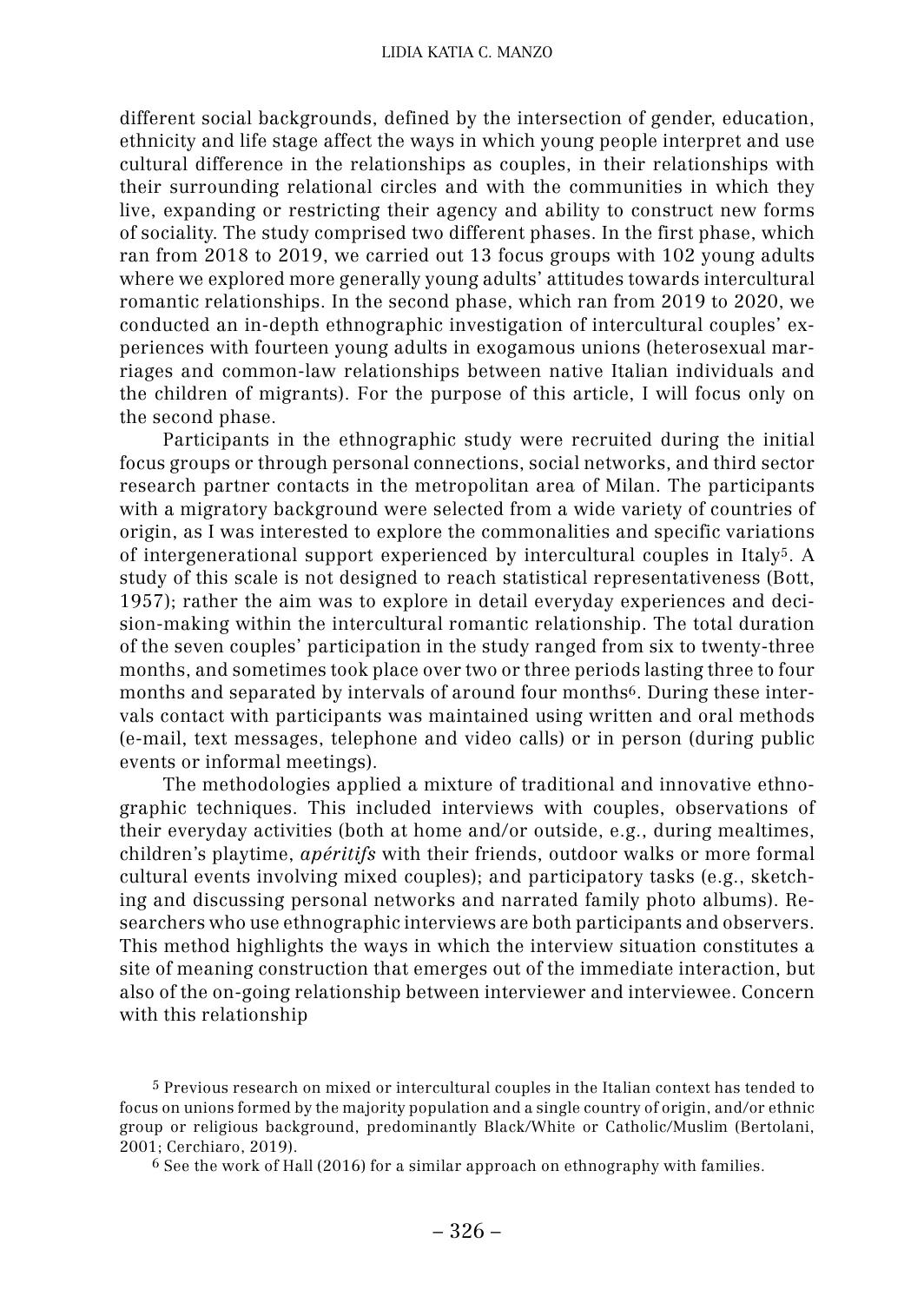different social backgrounds, defined by the intersection of gender, education, ethnicity and life stage affect the ways in which young people interpret and use cultural difference in the relationships as couples, in their relationships with their surrounding relational circles and with the communities in which they live, expanding or restricting their agency and ability to construct new forms of sociality. The study comprised two different phases. In the first phase, which ran from 2018 to 2019, we carried out 13 focus groups with 102 young adults where we explored more generally young adults' attitudes towards intercultural romantic relationships. In the second phase, which ran from 2019 to 2020, we conducted an in-depth ethnographic investigation of intercultural couples' experiences with fourteen young adults in exogamous unions (heterosexual marriages and common-law relationships between native Italian individuals and the children of migrants). For the purpose of this article, I will focus only on the second phase.

Participants in the ethnographic study were recruited during the initial focus groups or through personal connections, social networks, and third sector research partner contacts in the metropolitan area of Milan. The participants with a migratory background were selected from a wide variety of countries of origin, as I was interested to explore the commonalities and specific variations of intergenerational support experienced by intercultural couples in Italy5. A study of this scale is not designed to reach statistical representativeness (Bott, 1957); rather the aim was to explore in detail everyday experiences and decision-making within the intercultural romantic relationship. The total duration of the seven couples' participation in the study ranged from six to twenty-three months, and sometimes took place over two or three periods lasting three to four months and separated by intervals of around four months6. During these intervals contact with participants was maintained using written and oral methods (e-mail, text messages, telephone and video calls) or in person (during public events or informal meetings).

The methodologies applied a mixture of traditional and innovative ethnographic techniques. This included interviews with couples, observations of their everyday activities (both at home and/or outside, e.g., during mealtimes, children's playtime, *apéritifs* with their friends, outdoor walks or more formal cultural events involving mixed couples); and participatory tasks (e.g., sketching and discussing personal networks and narrated family photo albums). Researchers who use ethnographic interviews are both participants and observers. This method highlights the ways in which the interview situation constitutes a site of meaning construction that emerges out of the immediate interaction, but also of the on-going relationship between interviewer and interviewee. Concern with this relationship

5 Previous research on mixed or intercultural couples in the Italian context has tended to focus on unions formed by the majority population and a single country of origin, and/or ethnic group or religious background, predominantly Black/White or Catholic/Muslim (Bertolani, 2001; Cerchiaro, 2019).

6 See the work of Hall (2016) for a similar approach on ethnography with families.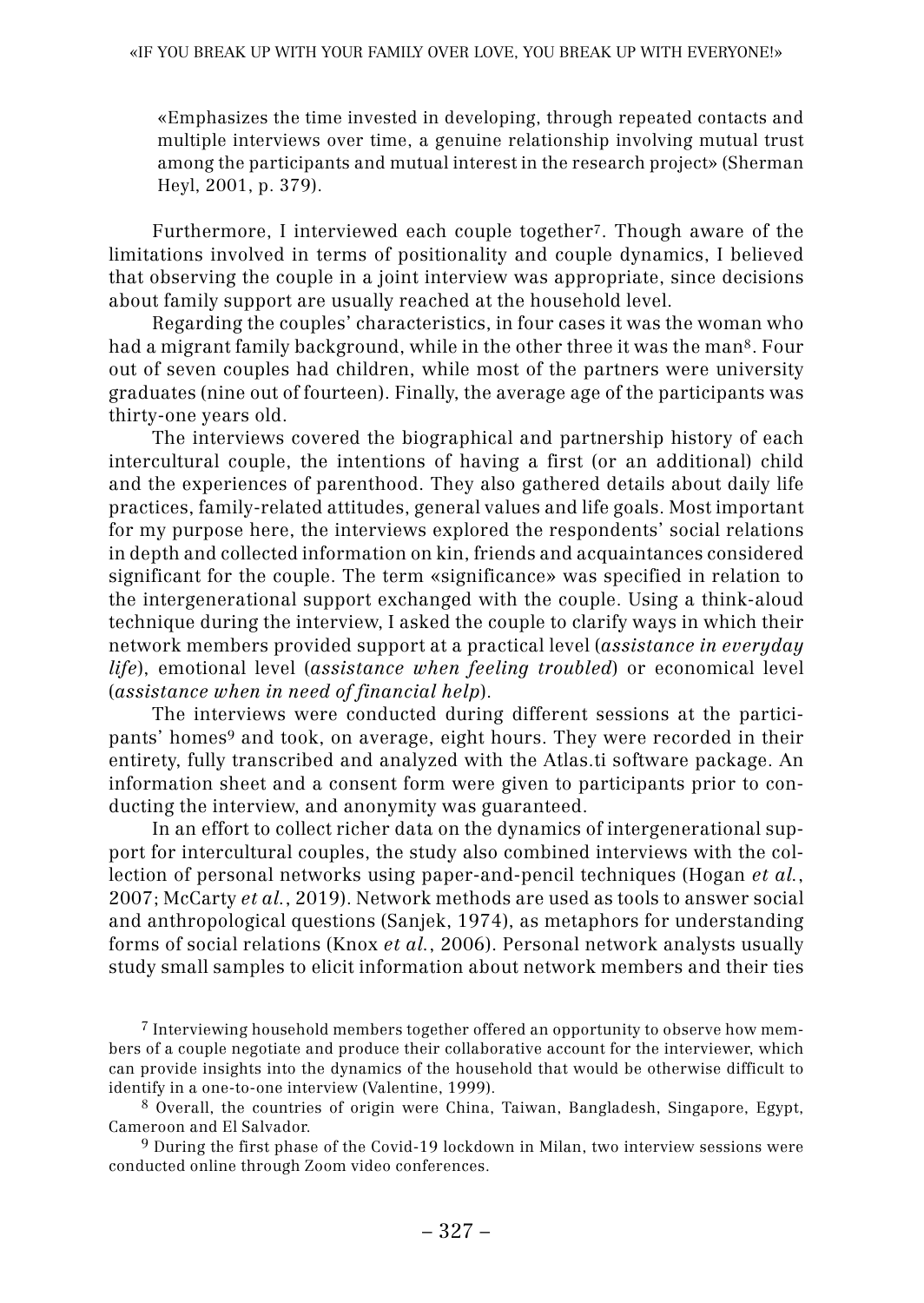«Emphasizes the time invested in developing, through repeated contacts and multiple interviews over time, a genuine relationship involving mutual trust among the participants and mutual interest in the research project» (Sherman Heyl, 2001, p. 379).

Furthermore, I interviewed each couple together7. Though aware of the limitations involved in terms of positionality and couple dynamics, I believed that observing the couple in a joint interview was appropriate, since decisions about family support are usually reached at the household level.

Regarding the couples' characteristics, in four cases it was the woman who had a migrant family background, while in the other three it was the man8. Four out of seven couples had children, while most of the partners were university graduates (nine out of fourteen). Finally, the average age of the participants was thirty-one years old.

The interviews covered the biographical and partnership history of each intercultural couple, the intentions of having a first (or an additional) child and the experiences of parenthood. They also gathered details about daily life practices, family-related attitudes, general values and life goals. Most important for my purpose here, the interviews explored the respondents' social relations in depth and collected information on kin, friends and acquaintances considered significant for the couple. The term «significance» was specified in relation to the intergenerational support exchanged with the couple. Using a think-aloud technique during the interview, I asked the couple to clarify ways in which their network members provided support at a practical level (*assistance in everyday life*), emotional level (*assistance when feeling troubled*) or economical level (*assistance when in need of financial help*).

The interviews were conducted during different sessions at the participants' homes<sup>9</sup> and took, on average, eight hours. They were recorded in their entirety, fully transcribed and analyzed with the Atlas.ti software package. An information sheet and a consent form were given to participants prior to conducting the interview, and anonymity was guaranteed.

In an effort to collect richer data on the dynamics of intergenerational support for intercultural couples, the study also combined interviews with the collection of personal networks using paper-and-pencil techniques (Hogan *et al.*, 2007; McCarty *et al.*, 2019). Network methods are used as tools to answer social and anthropological questions (Sanjek, 1974), as metaphors for understanding forms of social relations (Knox *et al.*, 2006). Personal network analysts usually study small samples to elicit information about network members and their ties

7 Interviewing household members together offered an opportunity to observe how members of a couple negotiate and produce their collaborative account for the interviewer, which can provide insights into the dynamics of the household that would be otherwise difficult to identify in a one-to-one interview (Valentine, 1999).

8 Overall, the countries of origin were China, Taiwan, Bangladesh, Singapore, Egypt, Cameroon and El Salvador.

9 During the first phase of the Covid-19 lockdown in Milan, two interview sessions were conducted online through Zoom video conferences.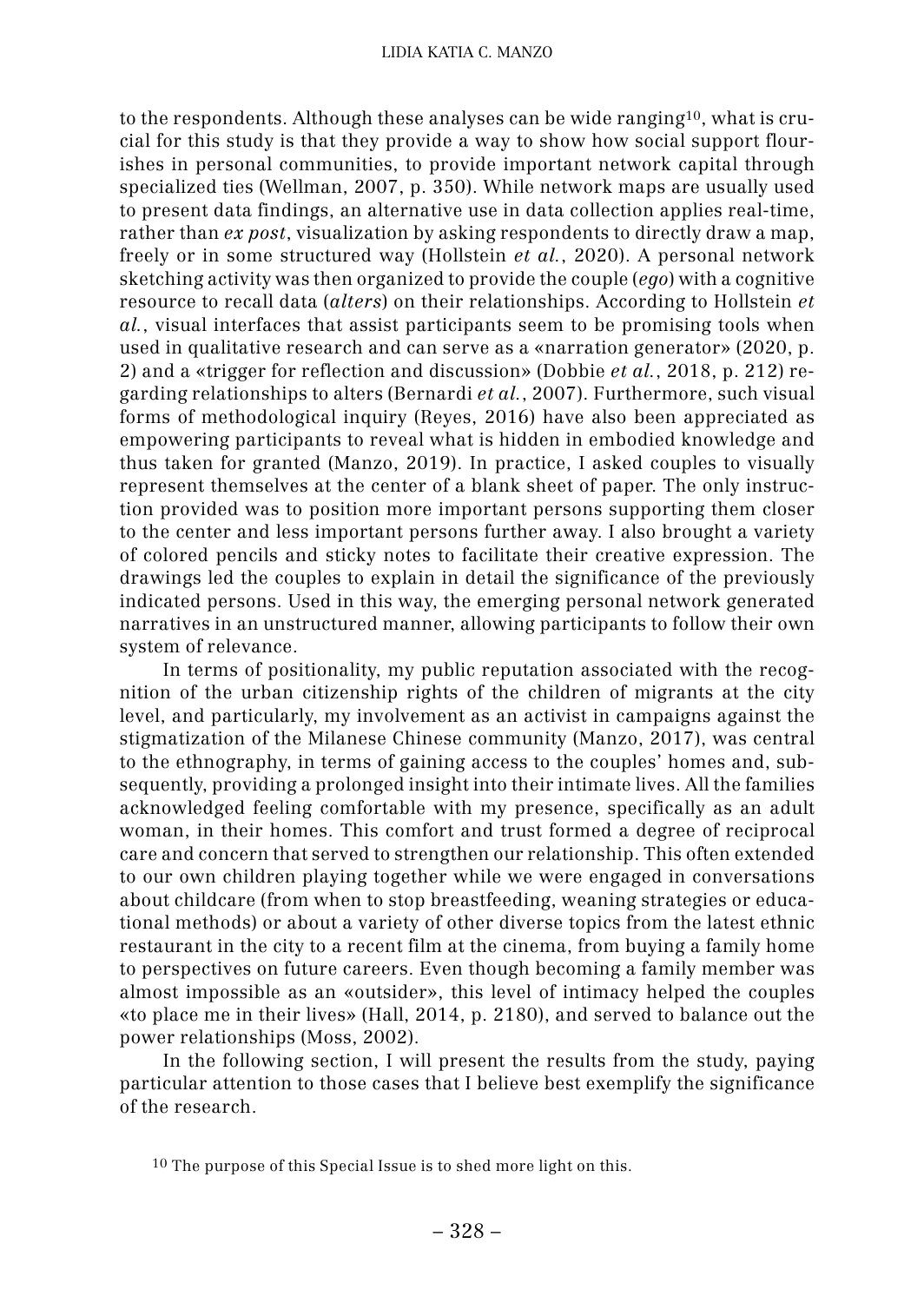to the respondents. Although these analyses can be wide ranging10, what is crucial for this study is that they provide a way to show how social support flourishes in personal communities, to provide important network capital through specialized ties (Wellman, 2007, p. 350). While network maps are usually used to present data findings, an alternative use in data collection applies real-time, rather than *ex post*, visualization by asking respondents to directly draw a map, freely or in some structured way (Hollstein *et al.*, 2020). A personal network sketching activity was then organized to provide the couple (*ego*) with a cognitive resource to recall data (*alters*) on their relationships. According to Hollstein *et al.*, visual interfaces that assist participants seem to be promising tools when used in qualitative research and can serve as a «narration generator» (2020, p. 2) and a «trigger for reflection and discussion» (Dobbie *et al.*, 2018, p. 212) regarding relationships to alters (Bernardi *et al.*, 2007). Furthermore, such visual forms of methodological inquiry (Reyes, 2016) have also been appreciated as empowering participants to reveal what is hidden in embodied knowledge and thus taken for granted (Manzo, 2019). In practice, I asked couples to visually represent themselves at the center of a blank sheet of paper. The only instruction provided was to position more important persons supporting them closer to the center and less important persons further away. I also brought a variety of colored pencils and sticky notes to facilitate their creative expression. The drawings led the couples to explain in detail the significance of the previously indicated persons. Used in this way, the emerging personal network generated narratives in an unstructured manner, allowing participants to follow their own system of relevance.

In terms of positionality, my public reputation associated with the recognition of the urban citizenship rights of the children of migrants at the city level, and particularly, my involvement as an activist in campaigns against the stigmatization of the Milanese Chinese community (Manzo, 2017), was central to the ethnography, in terms of gaining access to the couples' homes and, subsequently, providing a prolonged insight into their intimate lives. All the families acknowledged feeling comfortable with my presence, specifically as an adult woman, in their homes. This comfort and trust formed a degree of reciprocal care and concern that served to strengthen our relationship. This often extended to our own children playing together while we were engaged in conversations about childcare (from when to stop breastfeeding, weaning strategies or educational methods) or about a variety of other diverse topics from the latest ethnic restaurant in the city to a recent film at the cinema, from buying a family home to perspectives on future careers. Even though becoming a family member was almost impossible as an «outsider», this level of intimacy helped the couples «to place me in their lives» (Hall, 2014, p. 2180), and served to balance out the power relationships (Moss, 2002).

In the following section, I will present the results from the study, paying particular attention to those cases that I believe best exemplify the significance of the research.

<sup>10</sup> The purpose of this Special Issue is to shed more light on this.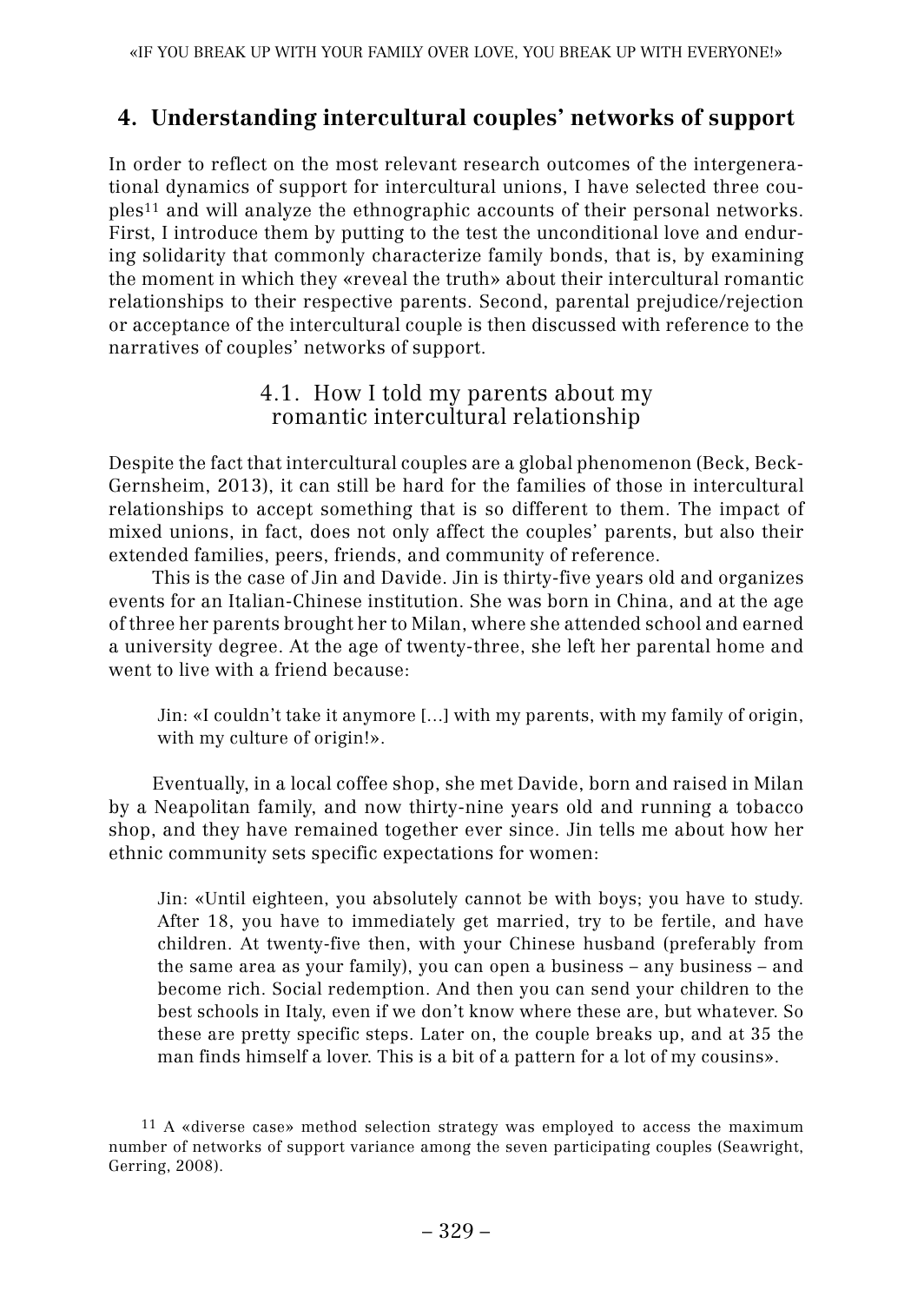## **4.4. Understanding intercultural couples' networks of support**

In order to reflect on the most relevant research outcomes of the intergenerational dynamics of support for intercultural unions, I have selected three couples11 and will analyze the ethnographic accounts of their personal networks. First, I introduce them by putting to the test the unconditional love and enduring solidarity that commonly characterize family bonds, that is, by examining the moment in which they «reveal the truth» about their intercultural romantic relationships to their respective parents. Second, parental prejudice/rejection or acceptance of the intercultural couple is then discussed with reference to the narratives of couples' networks of support.

### 4.1. 4.1. How I told my parents about my romantic intercultural relationship

Despite the fact that intercultural couples are a global phenomenon (Beck, Beck-Gernsheim, 2013), it can still be hard for the families of those in intercultural relationships to accept something that is so different to them. The impact of mixed unions, in fact, does not only affect the couples' parents, but also their extended families, peers, friends, and community of reference.

This is the case of Jin and Davide. Jin is thirty-five years old and organizes events for an Italian-Chinese institution. She was born in China, and at the age of three her parents brought her to Milan, where she attended school and earned a university degree. At the age of twenty-three, she left her parental home and went to live with a friend because:

Jin: «I couldn't take it anymore [...] with my parents, with my family of origin, with my culture of origin!».

Eventually, in a local coffee shop, she met Davide, born and raised in Milan by a Neapolitan family, and now thirty-nine years old and running a tobacco shop, and they have remained together ever since. Jin tells me about how her ethnic community sets specific expectations for women:

Jin: «Until eighteen, you absolutely cannot be with boys; you have to study. After 18, you have to immediately get married, try to be fertile, and have children. At twenty-five then, with your Chinese husband (preferably from the same area as your family), you can open a business – any business – and become rich. Social redemption. And then you can send your children to the best schools in Italy, even if we don't know where these are, but whatever. So these are pretty specific steps. Later on, the couple breaks up, and at 35 the man finds himself a lover. This is a bit of a pattern for a lot of my cousins».

<sup>11</sup> A «diverse case» method selection strategy was employed to access the maximum number of networks of support variance among the seven participating couples (Seawright, Gerring, 2008).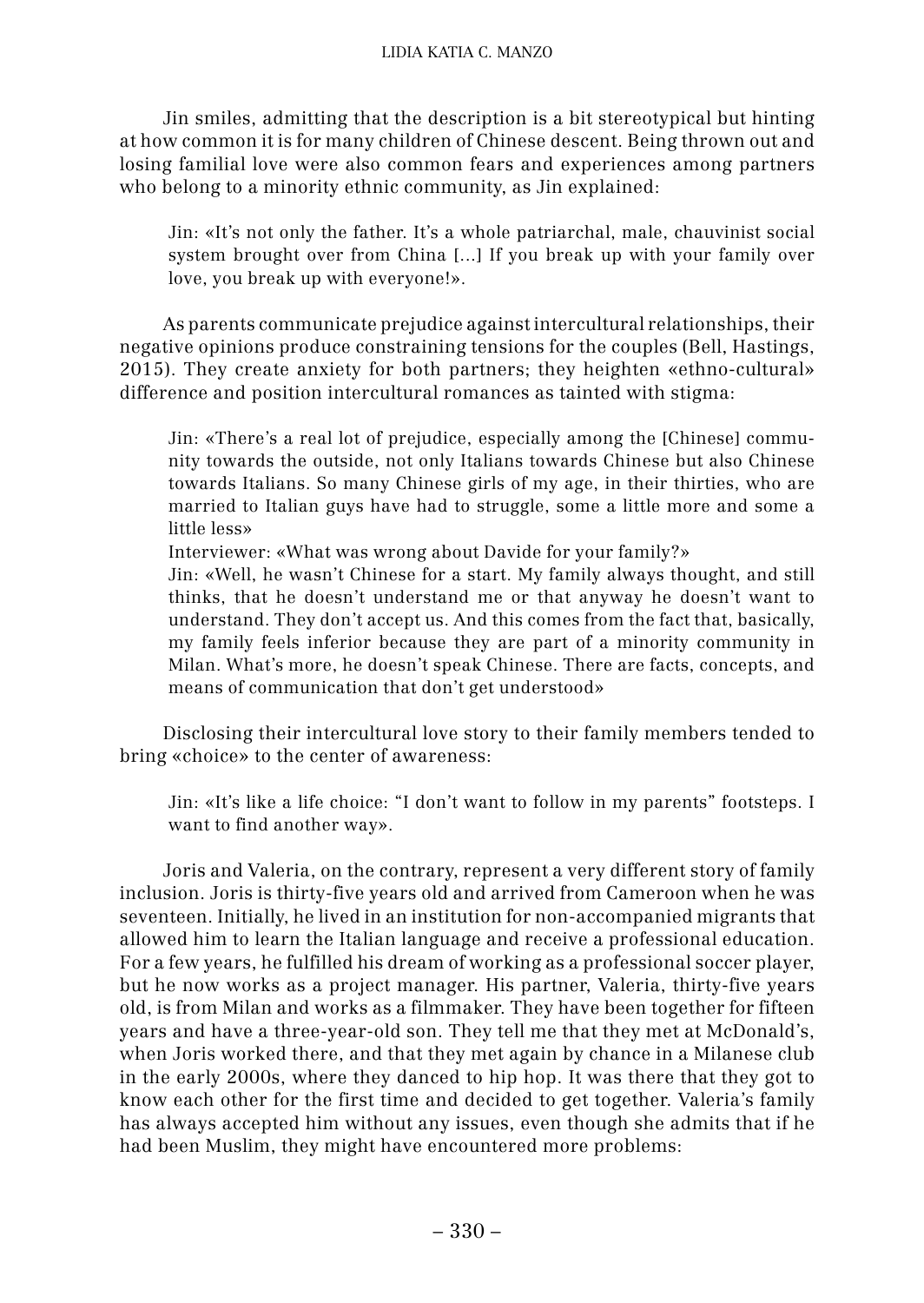Jin smiles, admitting that the description is a bit stereotypical but hinting at how common it is for many children of Chinese descent. Being thrown out and losing familial love were also common fears and experiences among partners who belong to a minority ethnic community, as Jin explained:

Jin: «It's not only the father. It's a whole patriarchal, male, chauvinist social system brought over from China [...] If you break up with your family over love, you break up with everyone!».

As parents communicate prejudice against intercultural relationships, their negative opinions produce constraining tensions for the couples (Bell, Hastings, 2015). They create anxiety for both partners; they heighten «ethno-cultural» difference and position intercultural romances as tainted with stigma:

Jin: «There's a real lot of prejudice, especially among the [Chinese] community towards the outside, not only Italians towards Chinese but also Chinese towards Italians. So many Chinese girls of my age, in their thirties, who are married to Italian guys have had to struggle, some a little more and some a little less»

Interviewer: «What was wrong about Davide for your family?»

Jin: «Well, he wasn't Chinese for a start. My family always thought, and still thinks, that he doesn't understand me or that anyway he doesn't want to understand. They don't accept us. And this comes from the fact that, basically, my family feels inferior because they are part of a minority community in Milan. What's more, he doesn't speak Chinese. There are facts, concepts, and means of communication that don't get understood»

Disclosing their intercultural love story to their family members tended to bring «choice» to the center of awareness:

Jin: «It's like a life choice: "I don't want to follow in my parents" footsteps. I want to find another way».

Joris and Valeria, on the contrary, represent a very different story of family inclusion. Joris is thirty-five years old and arrived from Cameroon when he was seventeen. Initially, he lived in an institution for non-accompanied migrants that allowed him to learn the Italian language and receive a professional education. For a few years, he fulfilled his dream of working as a professional soccer player, but he now works as a project manager. His partner, Valeria, thirty-five years old, is from Milan and works as a filmmaker. They have been together for fifteen years and have a three-year-old son. They tell me that they met at McDonald's, when Joris worked there, and that they met again by chance in a Milanese club in the early 2000s, where they danced to hip hop. It was there that they got to know each other for the first time and decided to get together. Valeria's family has always accepted him without any issues, even though she admits that if he had been Muslim, they might have encountered more problems: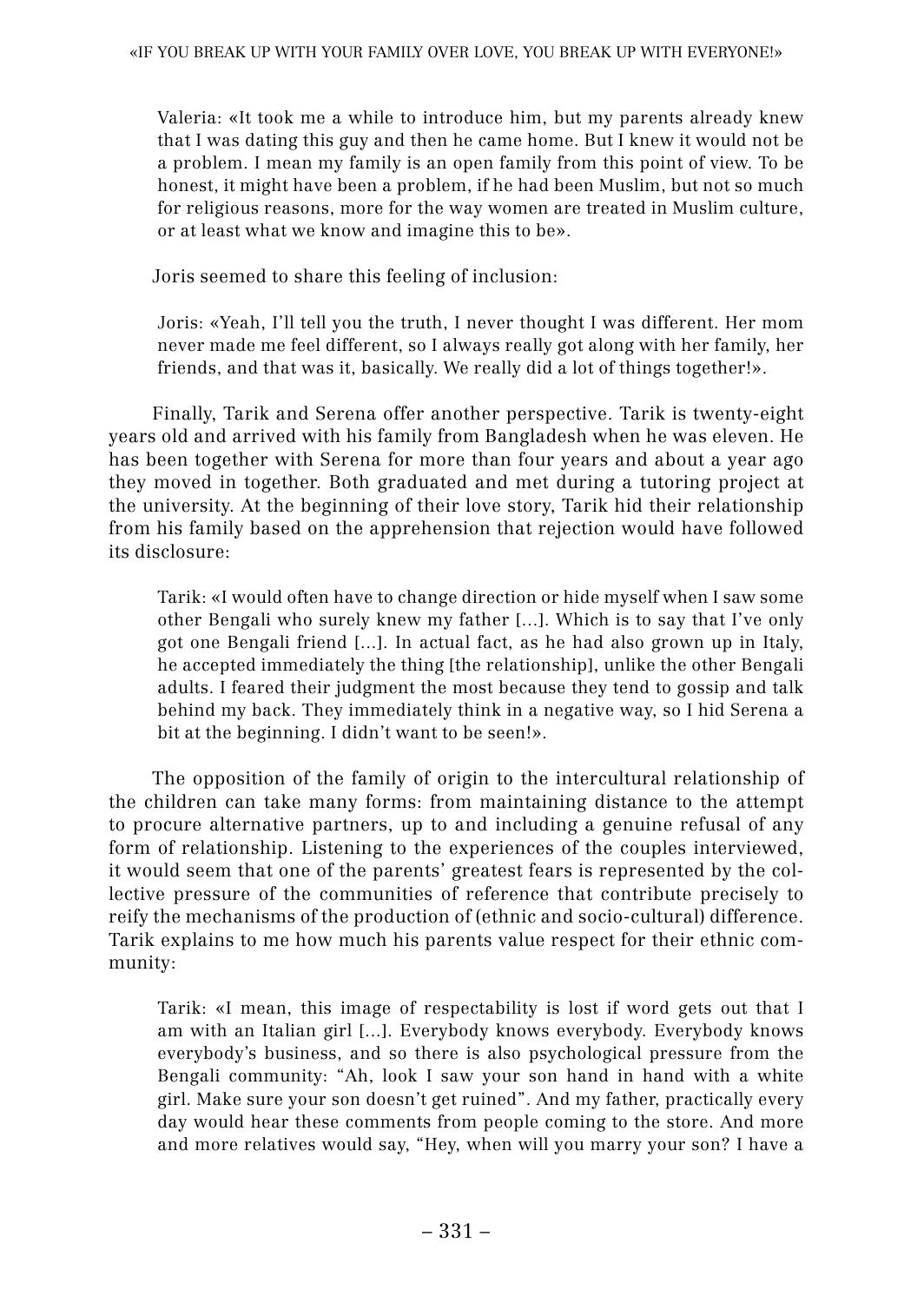Valeria: «It took me a while to introduce him, but my parents already knew that I was dating this guy and then he came home. But I knew it would not be a problem. I mean my family is an open family from this point of view. To be honest, it might have been a problem, if he had been Muslim, but not so much for religious reasons, more for the way women are treated in Muslim culture, or at least what we know and imagine this to be».

Joris seemed to share this feeling of inclusion:

Joris: «Yeah, I'll tell you the truth, I never thought I was different. Her mom never made me feel different, so I always really got along with her family, her friends, and that was it, basically. We really did a lot of things together!».

Finally, Tarik and Serena offer another perspective. Tarik is twenty-eight years old and arrived with his family from Bangladesh when he was eleven. He has been together with Serena for more than four years and about a year ago they moved in together. Both graduated and met during a tutoring project at the university. At the beginning of their love story, Tarik hid their relationship from his family based on the apprehension that rejection would have followed its disclosure:

Tarik: «I would often have to change direction or hide myself when I saw some other Bengali who surely knew my father [...]. Which is to say that I've only got one Bengali friend [...]. In actual fact, as he had also grown up in Italy, he accepted immediately the thing [the relationship], unlike the other Bengali adults. I feared their judgment the most because they tend to gossip and talk behind my back. They immediately think in a negative way, so I hid Serena a bit at the beginning. I didn't want to be seen!».

The opposition of the family of origin to the intercultural relationship of the children can take many forms: from maintaining distance to the attempt to procure alternative partners, up to and including a genuine refusal of any form of relationship. Listening to the experiences of the couples interviewed, it would seem that one of the parents' greatest fears is represented by the collective pressure of the communities of reference that contribute precisely to reify the mechanisms of the production of (ethnic and socio-cultural) difference. Tarik explains to me how much his parents value respect for their ethnic community:

Tarik: «I mean, this image of respectability is lost if word gets out that I am with an Italian girl [...]. Everybody knows everybody. Everybody knows everybody's business, and so there is also psychological pressure from the Bengali community: "Ah, look I saw your son hand in hand with a white girl. Make sure your son doesn't get ruined". And my father, practically every day would hear these comments from people coming to the store. And more and more relatives would say, "Hey, when will you marry your son? I have a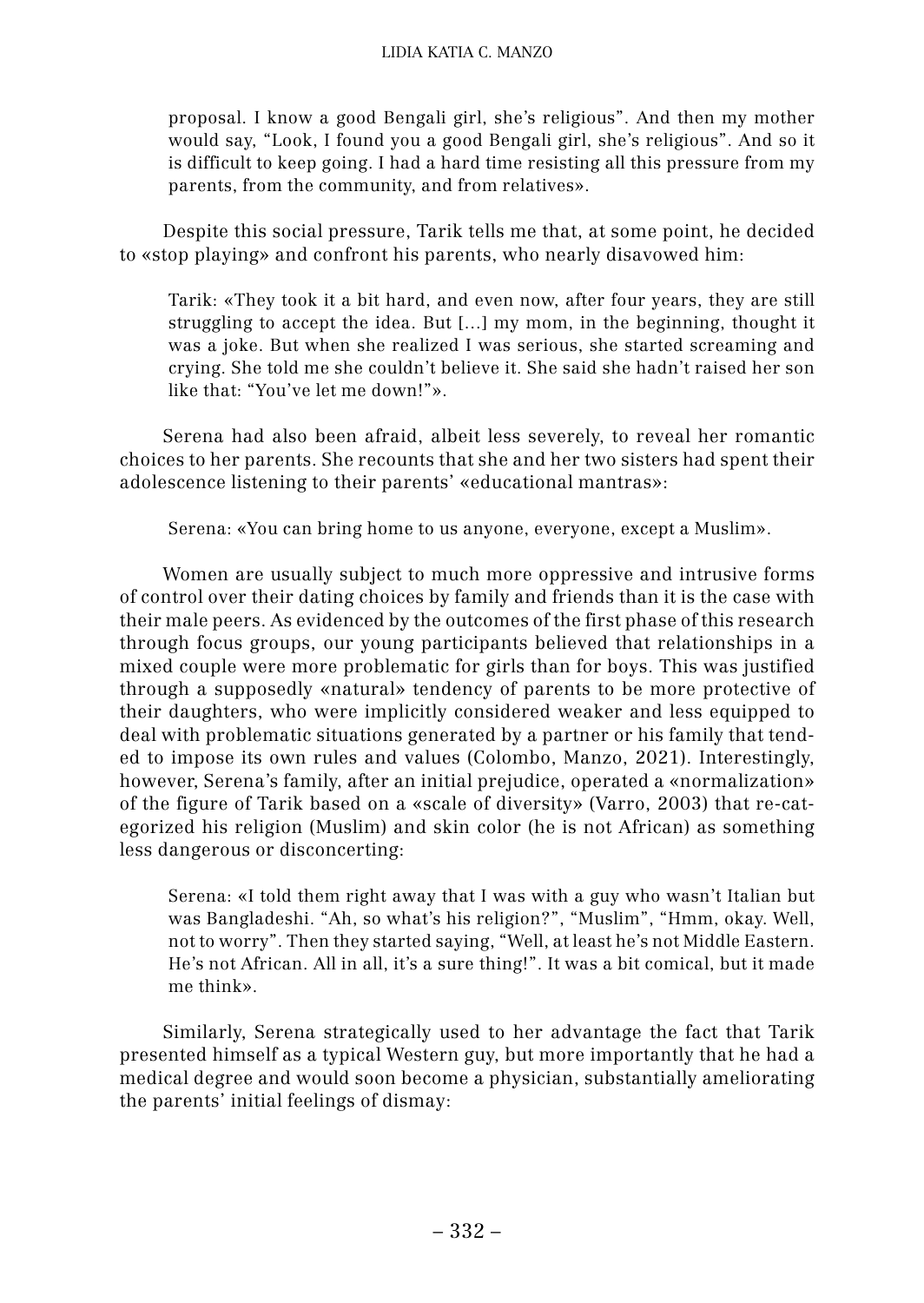proposal. I know a good Bengali girl, she's religious". And then my mother would say, "Look, I found you a good Bengali girl, she's religious". And so it is difficult to keep going. I had a hard time resisting all this pressure from my parents, from the community, and from relatives».

Despite this social pressure, Tarik tells me that, at some point, he decided to «stop playing» and confront his parents, who nearly disavowed him:

Tarik: «They took it a bit hard, and even now, after four years, they are still struggling to accept the idea. But […] my mom, in the beginning, thought it was a joke. But when she realized I was serious, she started screaming and crying. She told me she couldn't believe it. She said she hadn't raised her son like that: "You've let me down!"».

Serena had also been afraid, albeit less severely, to reveal her romantic choices to her parents. She recounts that she and her two sisters had spent their adolescence listening to their parents' «educational mantras»:

Serena: «You can bring home to us anyone, everyone, except a Muslim».

Women are usually subject to much more oppressive and intrusive forms of control over their dating choices by family and friends than it is the case with their male peers. As evidenced by the outcomes of the first phase of this research through focus groups, our young participants believed that relationships in a mixed couple were more problematic for girls than for boys. This was justified through a supposedly «natural» tendency of parents to be more protective of their daughters, who were implicitly considered weaker and less equipped to deal with problematic situations generated by a partner or his family that tended to impose its own rules and values (Colombo, Manzo, 2021). Interestingly, however, Serena's family, after an initial prejudice, operated a «normalization» of the figure of Tarik based on a «scale of diversity» (Varro, 2003) that re-categorized his religion (Muslim) and skin color (he is not African) as something less dangerous or disconcerting:

Serena: «I told them right away that I was with a guy who wasn't Italian but was Bangladeshi. "Ah, so what's his religion?", "Muslim", "Hmm, okay. Well, not to worry". Then they started saying, "Well, at least he's not Middle Eastern. He's not African. All in all, it's a sure thing!". It was a bit comical, but it made me think».

Similarly, Serena strategically used to her advantage the fact that Tarik presented himself as a typical Western guy, but more importantly that he had a medical degree and would soon become a physician, substantially ameliorating the parents' initial feelings of dismay: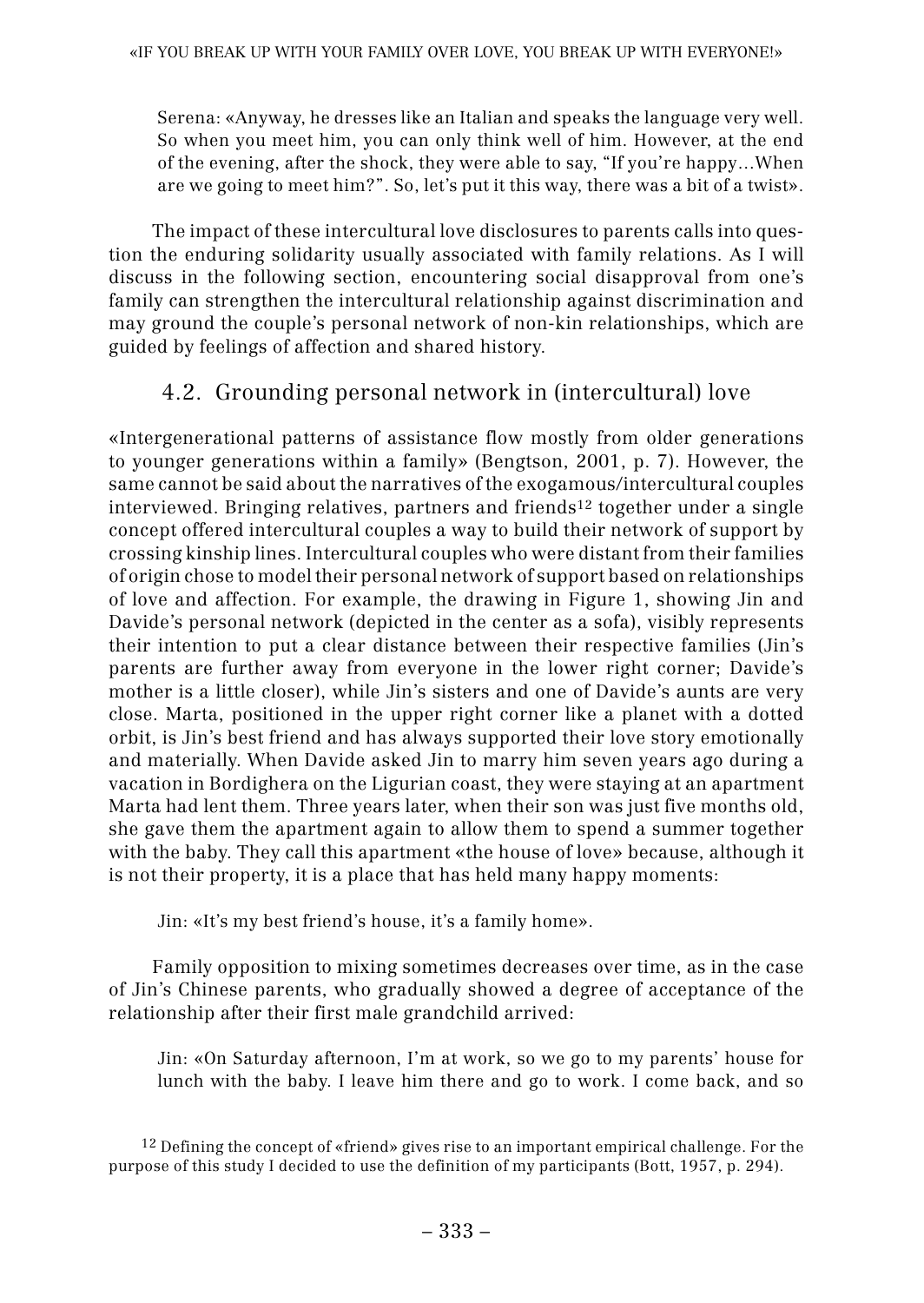Serena: «Anyway, he dresses like an Italian and speaks the language very well. So when you meet him, you can only think well of him. However, at the end of the evening, after the shock, they were able to say, "If you're happy…When are we going to meet him?". So, let's put it this way, there was a bit of a twist».

The impact of these intercultural love disclosures to parents calls into question the enduring solidarity usually associated with family relations. As I will discuss in the following section, encountering social disapproval from one's family can strengthen the intercultural relationship against discrimination and may ground the couple's personal network of non-kin relationships, which are guided by feelings of affection and shared history.

## 4.2. 4.2. Grounding personal network in (intercultural) love

«Intergenerational patterns of assistance flow mostly from older generations to younger generations within a family» (Bengtson, 2001, p. 7). However, the same cannot be said about the narratives of the exogamous/intercultural couples interviewed. Bringing relatives, partners and friends12 together under a single concept offered intercultural couples a way to build their network of support by crossing kinship lines. Intercultural couples who were distant from their families of origin chose to model their personal network of support based on relationships of love and affection. For example, the drawing in Figure 1, showing Jin and Davide's personal network (depicted in the center as a sofa), visibly represents their intention to put a clear distance between their respective families (Jin's parents are further away from everyone in the lower right corner; Davide's mother is a little closer), while Jin's sisters and one of Davide's aunts are very close. Marta, positioned in the upper right corner like a planet with a dotted orbit, is Jin's best friend and has always supported their love story emotionally and materially. When Davide asked Jin to marry him seven years ago during a vacation in Bordighera on the Ligurian coast, they were staying at an apartment Marta had lent them. Three years later, when their son was just five months old, she gave them the apartment again to allow them to spend a summer together with the baby. They call this apartment «the house of love» because, although it is not their property, it is a place that has held many happy moments:

Jin: «It's my best friend's house, it's a family home».

Family opposition to mixing sometimes decreases over time, as in the case of Jin's Chinese parents, who gradually showed a degree of acceptance of the relationship after their first male grandchild arrived:

Jin: «On Saturday afternoon, I'm at work, so we go to my parents' house for lunch with the baby. I leave him there and go to work. I come back, and so

 $12$  Defining the concept of «friend» gives rise to an important empirical challenge. For the purpose of this study I decided to use the definition of my participants (Bott, 1957, p. 294).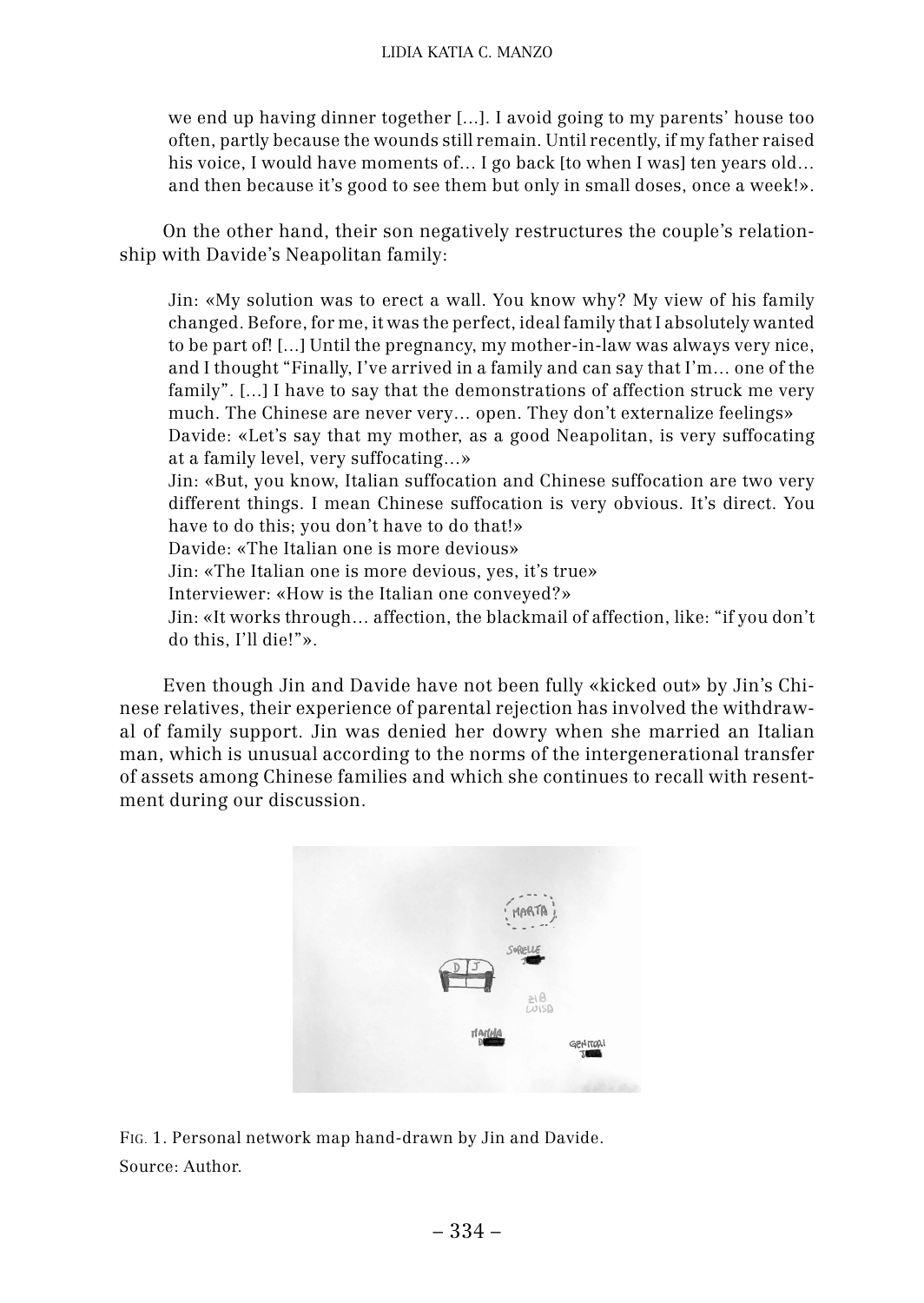we end up having dinner together [...]. I avoid going to my parents' house too often, partly because the wounds still remain. Until recently, if my father raised his voice, I would have moments of... I go back [to when I was] ten years old... and then because it's good to see them but only in small doses, once a week!».

On the other hand, their son negatively restructures the couple's relationship with Davide's Neapolitan family:

Jin: «My solution was to erect a wall. You know why? My view of his family changed. Before, for me, it was the perfect, ideal family that I absolutely wanted to be part of! [...] Until the pregnancy, my mother-in-law was always very nice, and I thought "Finally, I've arrived in a family and can say that I'm… one of the family". [...] I have to say that the demonstrations of affection struck me very much. The Chinese are never very… open. They don't externalize feelings» Davide: «Let's say that my mother, as a good Neapolitan, is very suffocating at a family level, very suffocating…» Jin: «But, you know, Italian suffocation and Chinese suffocation are two very different things. I mean Chinese suffocation is very obvious. It's direct. You have to do this; you don't have to do that!» Davide: «The Italian one is more devious» Jin: «The Italian one is more devious, yes, it's true» Interviewer: «How is the Italian one conveyed?» Jin: «It works through… affection, the blackmail of affection, like: "if you don't do this, I'll die!"».

Even though Jin and Davide have not been fully «kicked out» by Jin's Chinese relatives, their experience of parental rejection has involved the withdrawal of family support. Jin was denied her dowry when she married an Italian man, which is unusual according to the norms of the intergenerational transfer of assets among Chinese families and which she continues to recall with resentment during our discussion.



FIG. 1. Personal network map hand-drawn by Jin and Davide. Source: Author.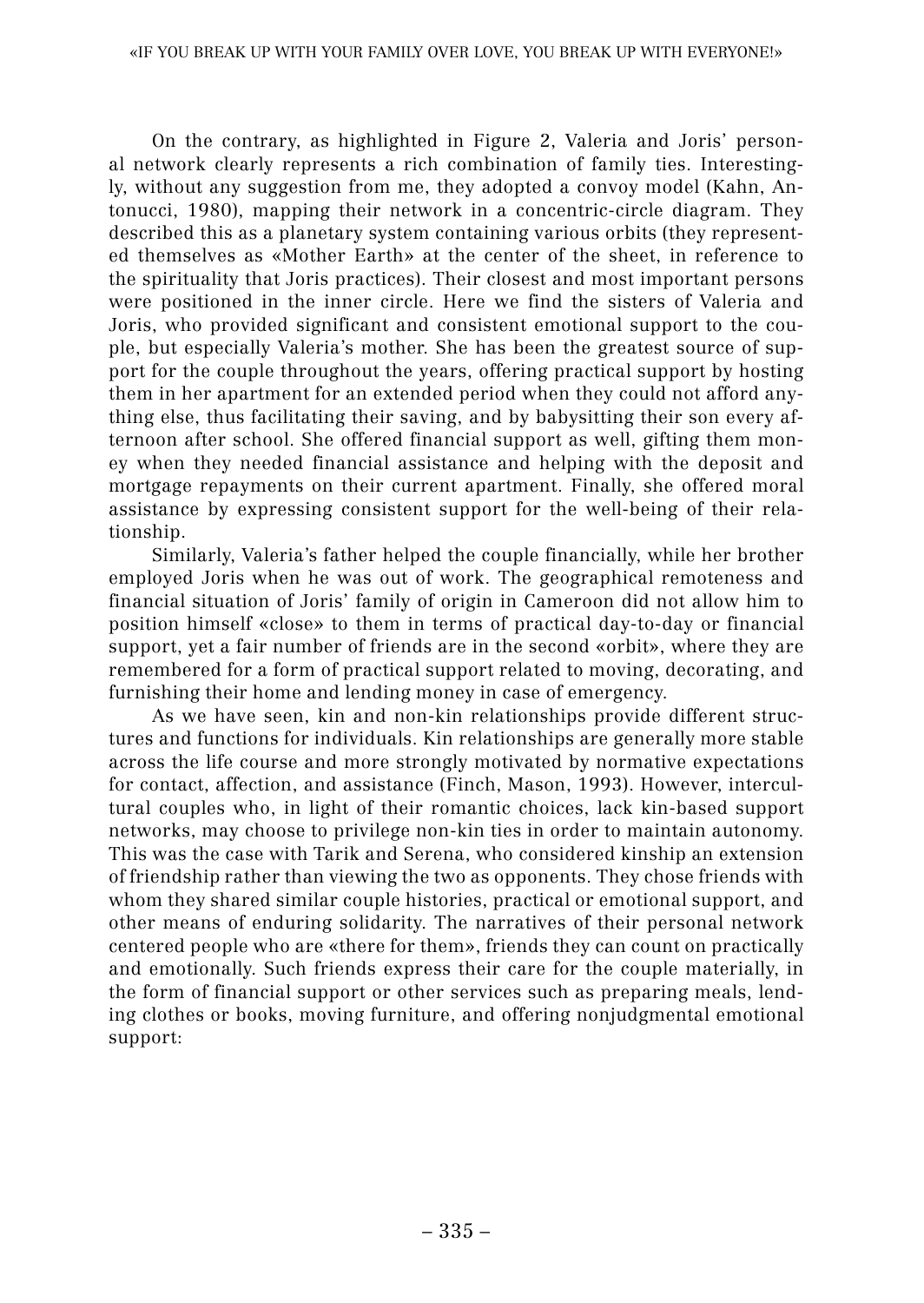On the contrary, as highlighted in Figure 2, Valeria and Joris' personal network clearly represents a rich combination of family ties. Interestingly, without any suggestion from me, they adopted a convoy model (Kahn, Antonucci, 1980), mapping their network in a concentric-circle diagram. They described this as a planetary system containing various orbits (they represented themselves as «Mother Earth» at the center of the sheet, in reference to the spirituality that Joris practices). Their closest and most important persons were positioned in the inner circle. Here we find the sisters of Valeria and Joris, who provided significant and consistent emotional support to the couple, but especially Valeria's mother. She has been the greatest source of support for the couple throughout the years, offering practical support by hosting them in her apartment for an extended period when they could not afford anything else, thus facilitating their saving, and by babysitting their son every afternoon after school. She offered financial support as well, gifting them money when they needed financial assistance and helping with the deposit and mortgage repayments on their current apartment. Finally, she offered moral assistance by expressing consistent support for the well-being of their relationship.

Similarly, Valeria's father helped the couple financially, while her brother employed Joris when he was out of work. The geographical remoteness and financial situation of Joris' family of origin in Cameroon did not allow him to position himself «close» to them in terms of practical day-to-day or financial support, yet a fair number of friends are in the second «orbit», where they are remembered for a form of practical support related to moving, decorating, and furnishing their home and lending money in case of emergency.

As we have seen, kin and non-kin relationships provide different structures and functions for individuals. Kin relationships are generally more stable across the life course and more strongly motivated by normative expectations for contact, affection, and assistance (Finch, Mason, 1993). However, intercultural couples who, in light of their romantic choices, lack kin-based support networks, may choose to privilege non-kin ties in order to maintain autonomy. This was the case with Tarik and Serena, who considered kinship an extension of friendship rather than viewing the two as opponents. They chose friends with whom they shared similar couple histories, practical or emotional support, and other means of enduring solidarity. The narratives of their personal network centered people who are «there for them», friends they can count on practically and emotionally. Such friends express their care for the couple materially, in the form of financial support or other services such as preparing meals, lending clothes or books, moving furniture, and offering nonjudgmental emotional support: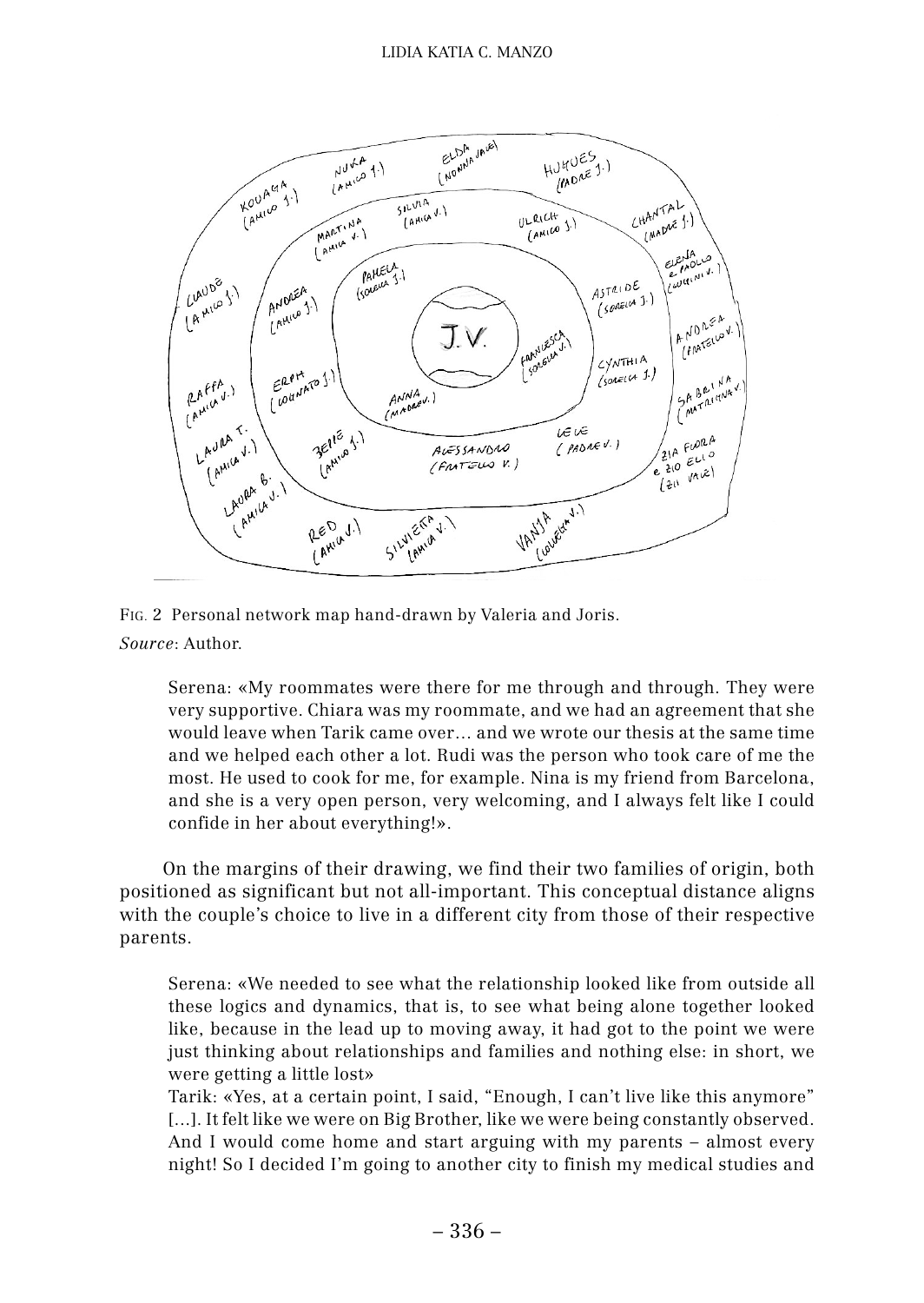

FIG. 2 Personal network map hand-drawn by Valeria and Joris. *Source*: Author.

Serena: «My roommates were there for me through and through. They were very supportive. Chiara was my roommate, and we had an agreement that she would leave when Tarik came over… and we wrote our thesis at the same time and we helped each other a lot. Rudi was the person who took care of me the most. He used to cook for me, for example. Nina is my friend from Barcelona, and she is a very open person, very welcoming, and I always felt like I could confide in her about everything!».

On the margins of their drawing, we find their two families of origin, both positioned as significant but not all-important. This conceptual distance aligns with the couple's choice to live in a different city from those of their respective parents.

Serena: «We needed to see what the relationship looked like from outside all these logics and dynamics, that is, to see what being alone together looked like, because in the lead up to moving away, it had got to the point we were just thinking about relationships and families and nothing else: in short, we were getting a little lost»

Tarik: «Yes, at a certain point, I said, "Enough, I can't live like this anymore" [...]. It felt like we were on Big Brother, like we were being constantly observed. And I would come home and start arguing with my parents – almost every night! So I decided I'm going to another city to finish my medical studies and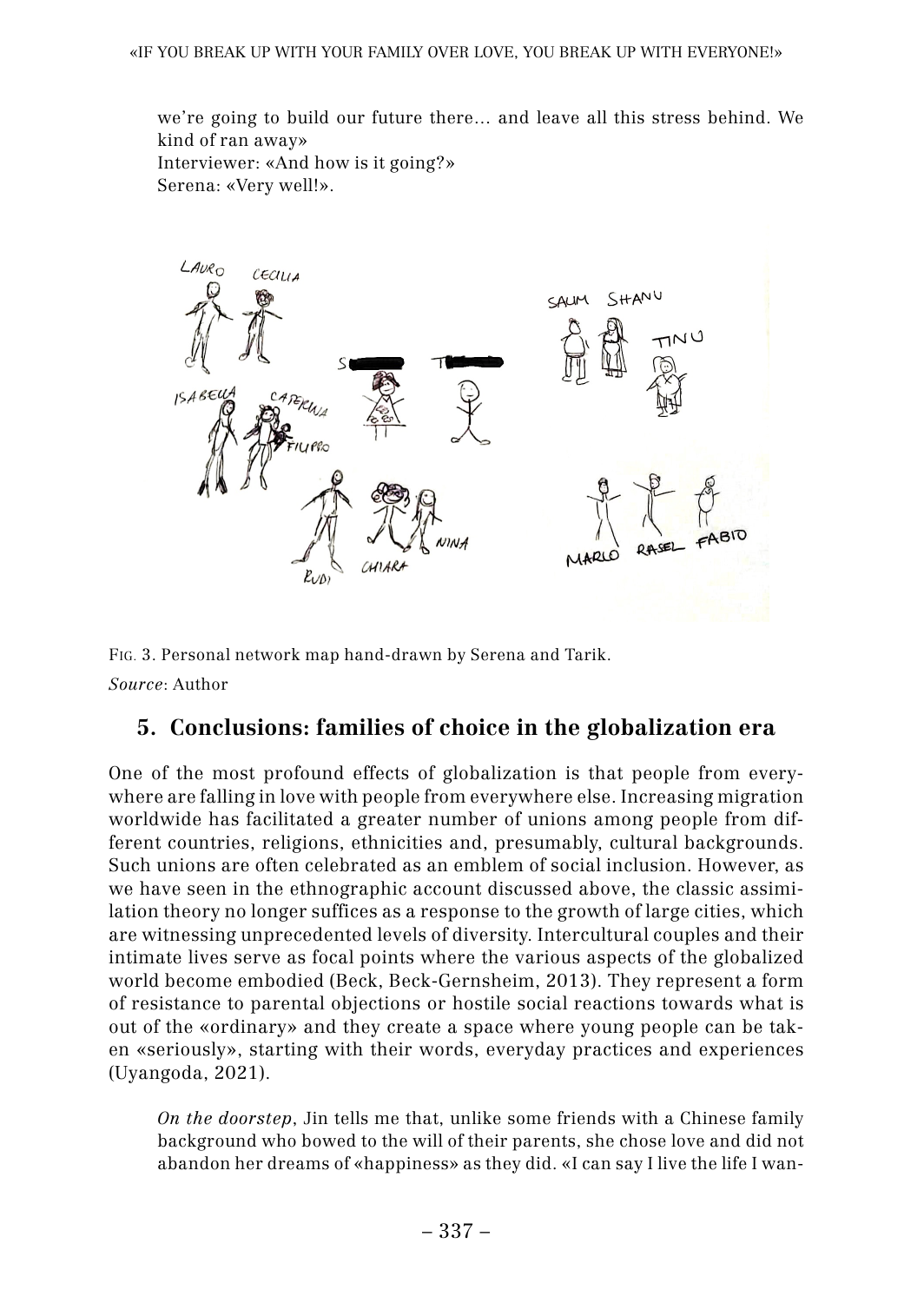we're going to build our future there… and leave all this stress behind. We kind of ran away» Interviewer: «And how is it going?» Serena: «Very well!».



FIG. 3. Personal network map hand-drawn by Serena and Tarik. *Source*: Author

## **5. 5. Conclusions: families of choice in the globalization era**

One of the most profound effects of globalization is that people from everywhere are falling in love with people from everywhere else. Increasing migration worldwide has facilitated a greater number of unions among people from different countries, religions, ethnicities and, presumably, cultural backgrounds. Such unions are often celebrated as an emblem of social inclusion. However, as we have seen in the ethnographic account discussed above, the classic assimilation theory no longer suffices as a response to the growth of large cities, which are witnessing unprecedented levels of diversity. Intercultural couples and their intimate lives serve as focal points where the various aspects of the globalized world become embodied (Beck, Beck-Gernsheim, 2013). They represent a form of resistance to parental objections or hostile social reactions towards what is out of the «ordinary» and they create a space where young people can be taken «seriously», starting with their words, everyday practices and experiences (Uyangoda, 2021).

*On the doorstep*, Jin tells me that, unlike some friends with a Chinese family background who bowed to the will of their parents, she chose love and did not abandon her dreams of «happiness» as they did. «I can say I live the life I wan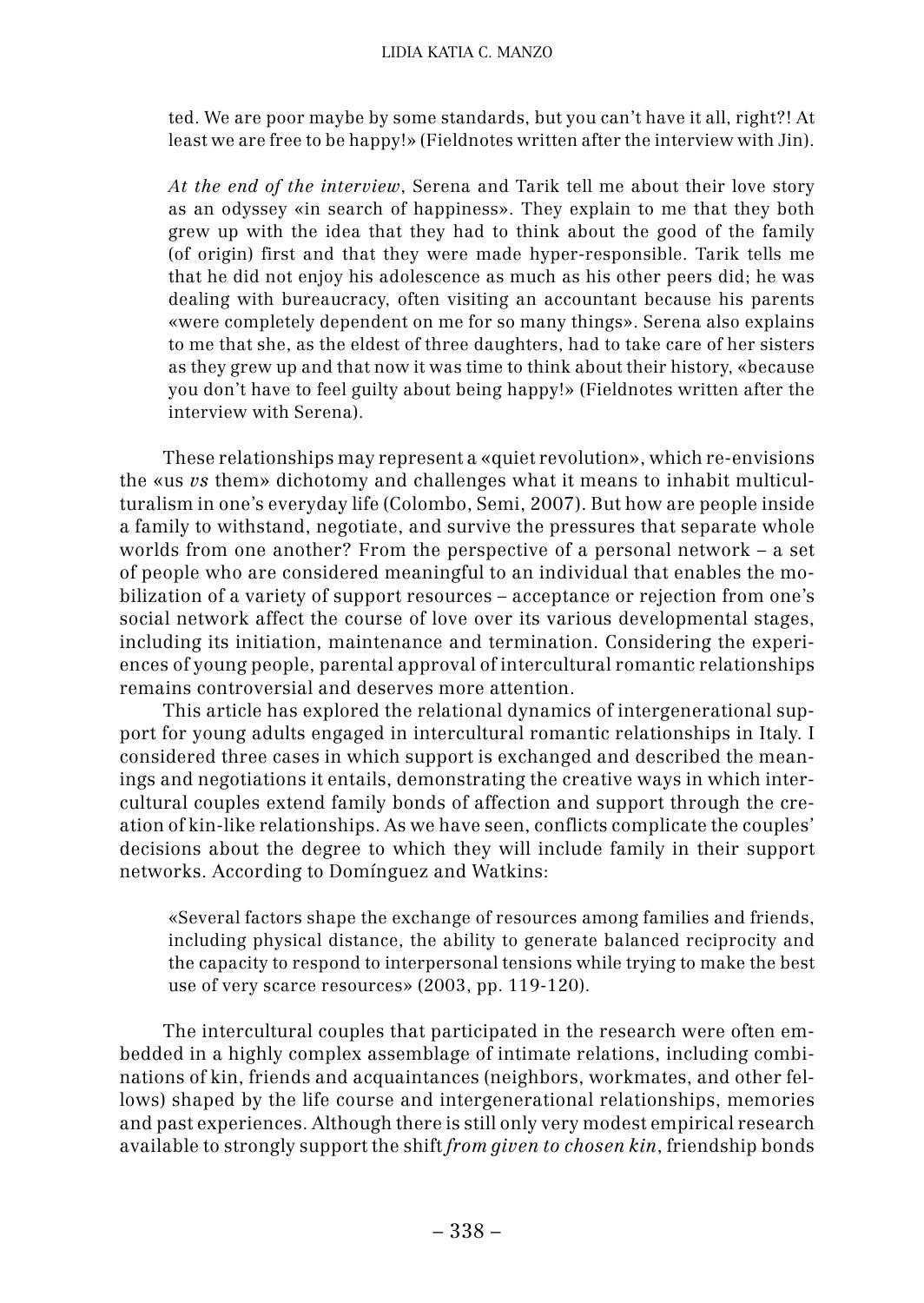ted. We are poor maybe by some standards, but you can't have it all, right?! At least we are free to be happy!» (Fieldnotes written after the interview with Jin).

*At the end of the interview*, Serena and Tarik tell me about their love story as an odyssey «in search of happiness». They explain to me that they both grew up with the idea that they had to think about the good of the family (of origin) first and that they were made hyper-responsible. Tarik tells me that he did not enjoy his adolescence as much as his other peers did; he was dealing with bureaucracy, often visiting an accountant because his parents «were completely dependent on me for so many things». Serena also explains to me that she, as the eldest of three daughters, had to take care of her sisters as they grew up and that now it was time to think about their history, «because you don't have to feel guilty about being happy!» (Fieldnotes written after the interview with Serena).

These relationships may represent a «quiet revolution», which re-envisions the «us *vs* them» dichotomy and challenges what it means to inhabit multiculturalism in one's everyday life (Colombo, Semi, 2007). But how are people inside a family to withstand, negotiate, and survive the pressures that separate whole worlds from one another? From the perspective of a personal network – a set of people who are considered meaningful to an individual that enables the mobilization of a variety of support resources – acceptance or rejection from one's social network affect the course of love over its various developmental stages, including its initiation, maintenance and termination. Considering the experiences of young people, parental approval of intercultural romantic relationships remains controversial and deserves more attention.

This article has explored the relational dynamics of intergenerational support for young adults engaged in intercultural romantic relationships in Italy. I considered three cases in which support is exchanged and described the meanings and negotiations it entails, demonstrating the creative ways in which intercultural couples extend family bonds of affection and support through the creation of kin-like relationships. As we have seen, conflicts complicate the couples' decisions about the degree to which they will include family in their support networks. According to Domínguez and Watkins:

«Several factors shape the exchange of resources among families and friends, including physical distance, the ability to generate balanced reciprocity and the capacity to respond to interpersonal tensions while trying to make the best use of very scarce resources» (2003, pp. 119-120).

The intercultural couples that participated in the research were often embedded in a highly complex assemblage of intimate relations, including combinations of kin, friends and acquaintances (neighbors, workmates, and other fellows) shaped by the life course and intergenerational relationships, memories and past experiences. Although there is still only very modest empirical research available to strongly support the shift *from given to chosen kin*, friendship bonds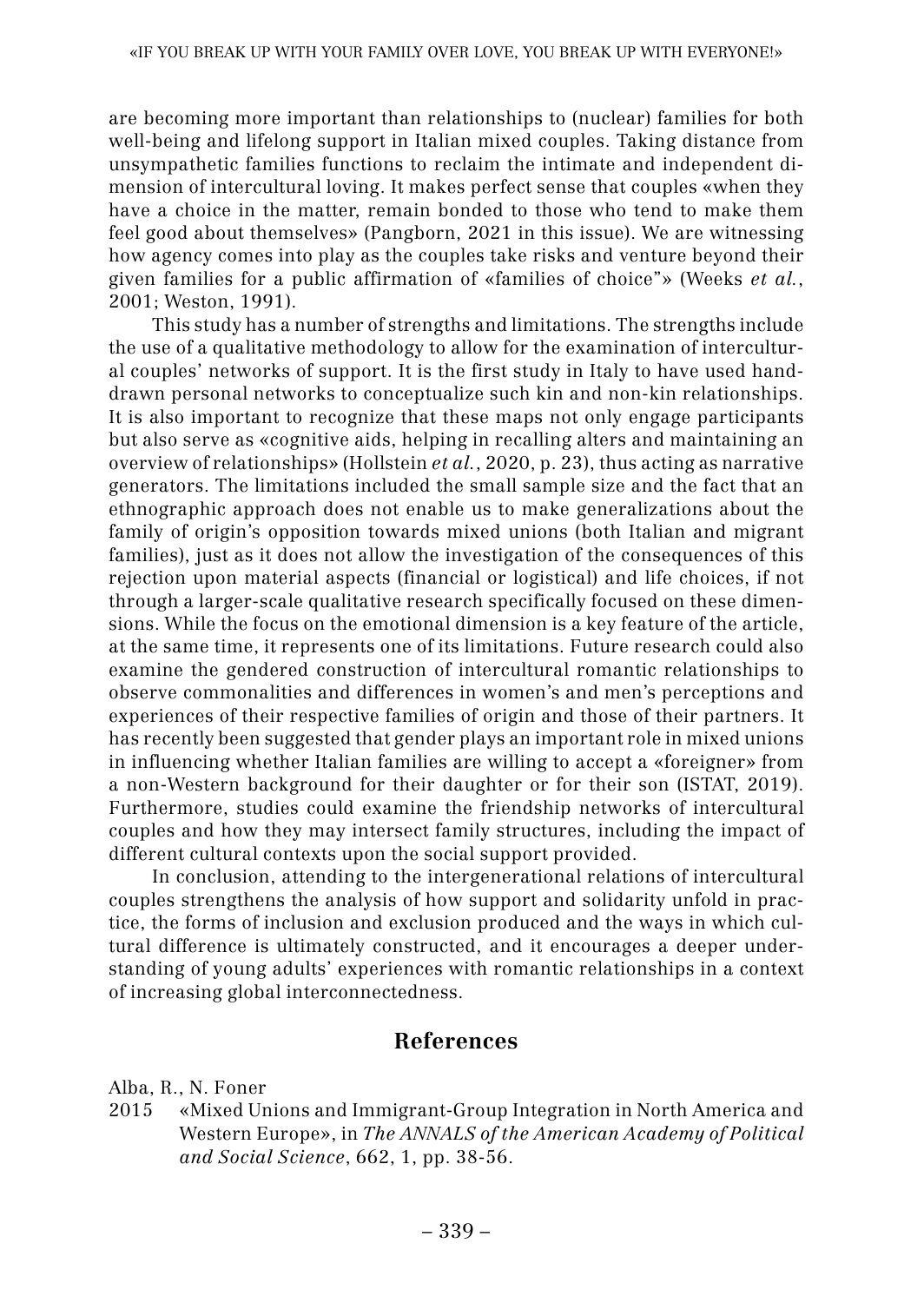are becoming more important than relationships to (nuclear) families for both well-being and lifelong support in Italian mixed couples. Taking distance from unsympathetic families functions to reclaim the intimate and independent dimension of intercultural loving. It makes perfect sense that couples «when they have a choice in the matter, remain bonded to those who tend to make them feel good about themselves» (Pangborn, 2021 in this issue). We are witnessing how agency comes into play as the couples take risks and venture beyond their given families for a public affirmation of «families of choice"» (Weeks *et al.*, 2001; Weston, 1991).

This study has a number of strengths and limitations. The strengths include the use of a qualitative methodology to allow for the examination of intercultural couples' networks of support. It is the first study in Italy to have used handdrawn personal networks to conceptualize such kin and non-kin relationships. It is also important to recognize that these maps not only engage participants but also serve as «cognitive aids, helping in recalling alters and maintaining an overview of relationships» (Hollstein *et al.*, 2020, p. 23), thus acting as narrative generators. The limitations included the small sample size and the fact that an ethnographic approach does not enable us to make generalizations about the family of origin's opposition towards mixed unions (both Italian and migrant families), just as it does not allow the investigation of the consequences of this rejection upon material aspects (financial or logistical) and life choices, if not through a larger-scale qualitative research specifically focused on these dimensions. While the focus on the emotional dimension is a key feature of the article, at the same time, it represents one of its limitations. Future research could also examine the gendered construction of intercultural romantic relationships to observe commonalities and differences in women's and men's perceptions and experiences of their respective families of origin and those of their partners. It has recently been suggested that gender plays an important role in mixed unions in influencing whether Italian families are willing to accept a «foreigner» from a non-Western background for their daughter or for their son (ISTAT, 2019). Furthermore, studies could examine the friendship networks of intercultural couples and how they may intersect family structures, including the impact of different cultural contexts upon the social support provided.

In conclusion, attending to the intergenerational relations of intercultural couples strengthens the analysis of how support and solidarity unfold in practice, the forms of inclusion and exclusion produced and the ways in which cultural difference is ultimately constructed, and it encourages a deeper understanding of young adults' experiences with romantic relationships in a context of increasing global interconnectedness.

### **References**

Alba, R., N. Foner

2015 «Mixed Unions and Immigrant-Group Integration in North America and Western Europe», in *The ANNALS of the American Academy of Political and Social Science*, 662, 1, pp. 38-56.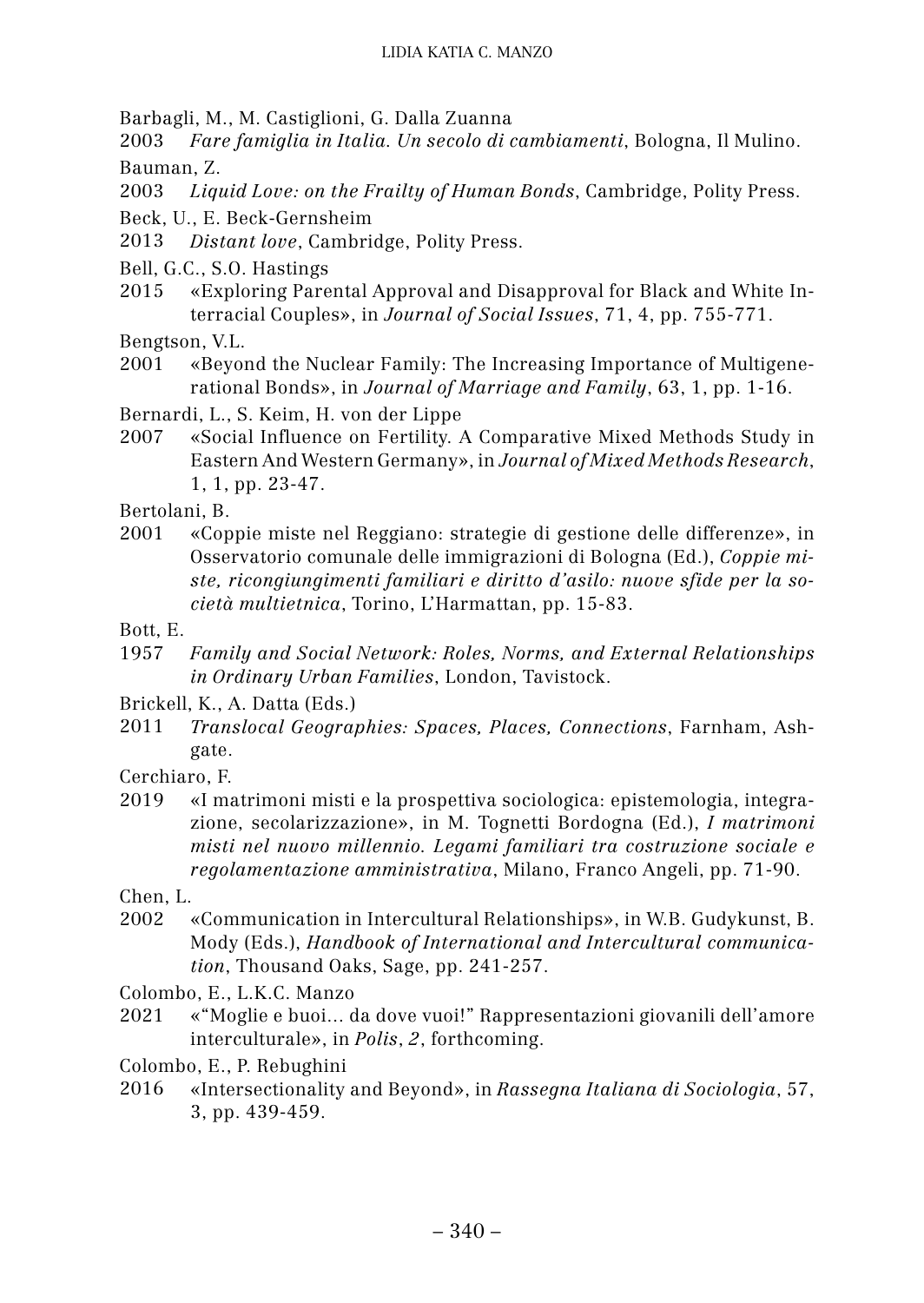Barbagli, M., M. Castiglioni, G. Dalla Zuanna

2003 *Fare famiglia in Italia. Un secolo di cambiamenti*, Bologna, Il Mulino. Bauman, Z.

2003 *Liquid Love: on the Frailty of Human Bonds*, Cambridge, Polity Press.

Beck, U., E. Beck-Gernsheim

2013 *Distant love*, Cambridge, Polity Press.

- Bell, G.C., S.O. Hastings
- 2015 «Exploring Parental Approval and Disapproval for Black and White Interracial Couples», in *Journal of Social Issues*, 71, 4, pp. 755-771.

Bengtson, V.L.

- 2001 «Beyond the Nuclear Family: The Increasing Importance of Multigenerational Bonds», in *Journal of Marriage and Family*, 63, 1, pp. 1-16.
- Bernardi, L., S. Keim, H. von der Lippe
- 2007 «Social Influence on Fertility. A Comparative Mixed Methods Study in Eastern And Western Germany», in *Journal of Mixed Methods Research*, 1, 1, pp. 23-47.

Bertolani, B.

- 2001 «Coppie miste nel Reggiano: strategie di gestione delle differenze», in Osservatorio comunale delle immigrazioni di Bologna (Ed.), *Coppie miste, ricongiungimenti familiari e diritto d'asilo: nuove sfide per la società multietnica*, Torino, L'Harmattan, pp. 15-83.
- Bott, E.
- 1957 *Family and Social Network: Roles, Norms, and External Relationships in Ordinary Urban Families*, London, Tavistock.
- Brickell, K., A. Datta (Eds.)
- 2011 *Translocal Geographies: Spaces, Places, Connections*, Farnham, Ashgate.

Cerchiaro, F.

2019 «I matrimoni misti e la prospettiva sociologica: epistemologia, integrazione, secolarizzazione», in M. Tognetti Bordogna (Ed.), *I matrimoni misti nel nuovo millennio. Legami familiari tra costruzione sociale e regolamentazione amministrativa*, Milano, Franco Angeli, pp. 71-90.

Chen, L.

2002 «Communication in Intercultural Relationships», in W.B. Gudykunst, B. Mody (Eds.), *Handbook of International and Intercultural communication*, Thousand Oaks, Sage, pp. 241-257.

Colombo, E., L.K.C. Manzo

2021 «"Moglie e buoi... da dove vuoi!" Rappresentazioni giovanili dell'amore interculturale», in *Polis*, *2*, forthcoming.

Colombo, E., P. Rebughini

2016 «Intersectionality and Beyond», in *Rassegna Italiana di Sociologia*, 57, 3, pp. 439-459.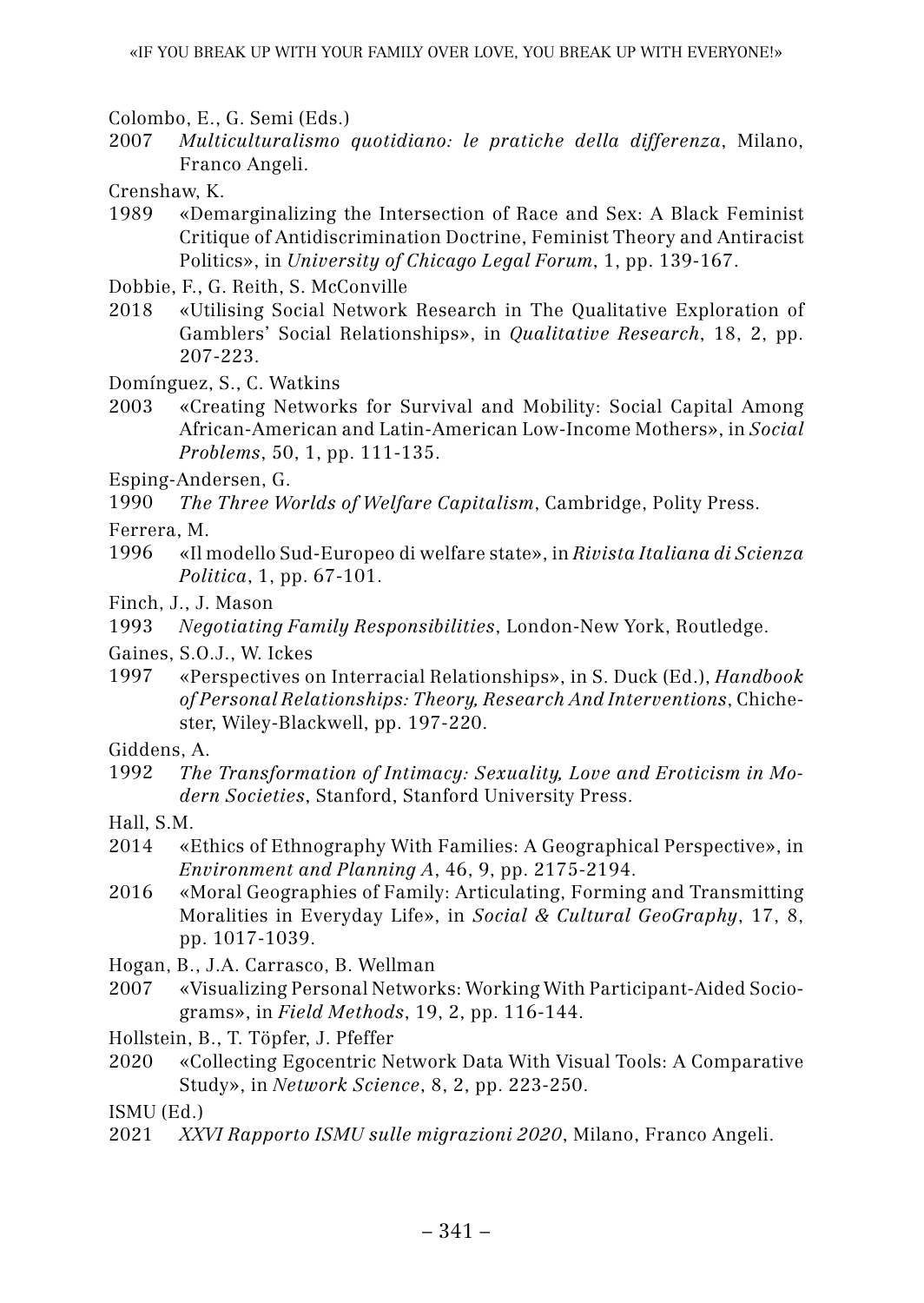Colombo, E., G. Semi (Eds.)

2007 *Multiculturalismo quotidiano: le pratiche della differenza*, Milano, Franco Angeli.

Crenshaw, K.

1989 «Demarginalizing the Intersection of Race and Sex: A Black Feminist Critique of Antidiscrimination Doctrine, Feminist Theory and Antiracist Politics», in *University of Chicago Legal Forum*, 1, pp. 139-167.

Dobbie, F., G. Reith, S. McConville

- 2018 «Utilising Social Network Research in The Qualitative Exploration of Gamblers' Social Relationships», in *Qualitative Research*, 18, 2, pp. 207-223.
- Domínguez, S., C. Watkins
- 2003 «Creating Networks for Survival and Mobility: Social Capital Among African-American and Latin-American Low-Income Mothers», in *Social Problems*, 50, 1, pp. 111-135.

Esping-Andersen, G.

1990 *The Three Worlds of Welfare Capitalism*, Cambridge, Polity Press.

Ferrera, M.

- 1996 «Il modello Sud-Europeo di welfare state», in *Rivista Italiana di Scienza Politica*, 1, pp. 67-101.
- Finch, J., J. Mason

1993 *Negotiating Family Responsibilities*, London-New York, Routledge.

Gaines, S.O.J., W. Ickes

- 1997 «Perspectives on Interracial Relationships», in S. Duck (Ed.), *Handbook of Personal Relationships: Theory, Research And Interventions*, Chichester, Wiley-Blackwell, pp. 197-220.
- Giddens, A.
- 1992 *The Transformation of Intimacy: Sexuality, Love and Eroticism in Modern Societies*, Stanford, Stanford University Press.
- Hall, S.M.
- 2014 «Ethics of Ethnography With Families: A Geographical Perspective», in *Environment and Planning A*, 46, 9, pp. 2175-2194.
- 2016 «Moral Geographies of Family: Articulating, Forming and Transmitting Moralities in Everyday Life», in *Social & Cultural GeoGraphy*, 17, 8, pp. 1017-1039.

Hogan, B., J.A. Carrasco, B. Wellman

2007 «Visualizing Personal Networks: Working With Participant-Aided Sociograms», in *Field Methods*, 19, 2, pp. 116-144.

Hollstein, B., T. Töpfer, J. Pfeffer

2020 «Collecting Egocentric Network Data With Visual Tools: A Comparative Study», in *Network Science*, 8, 2, pp. 223-250.

ISMU (Ed.)

2021 *XXVI Rapporto ISMU sulle migrazioni 2020*, Milano, Franco Angeli.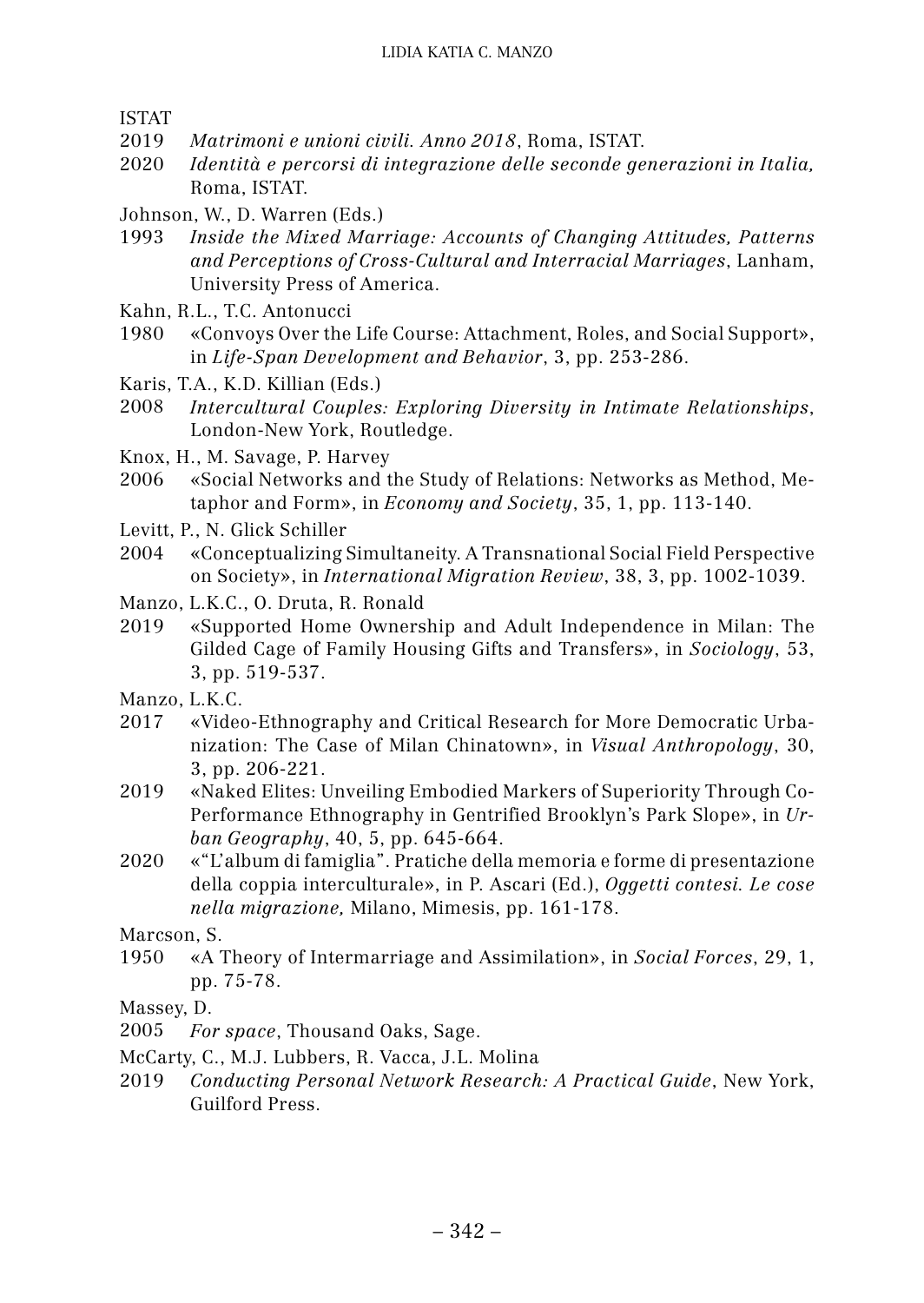ISTAT

- 2019 *Matrimoni e unioni civili. Anno 2018*, Roma, ISTAT.
- 2020 *Identità e percorsi di integrazione delle seconde generazioni in Italia,* Roma, ISTAT.
- Johnson, W., D. Warren (Eds.)
- 1993 *Inside the Mixed Marriage: Accounts of Changing Attitudes, Patterns and Perceptions of Cross-Cultural and Interracial Marriages*, Lanham, University Press of America.
- Kahn, R.L., T.C. Antonucci
- 1980 «Convoys Over the Life Course: Attachment, Roles, and Social Support», in *Life-Span Development and Behavior*, 3, pp. 253-286.
- Karis, T.A., K.D. Killian (Eds.)
- 2008 *Intercultural Couples: Exploring Diversity in Intimate Relationships*, London-New York, Routledge.
- Knox, H., M. Savage, P. Harvey
- 2006 «Social Networks and the Study of Relations: Networks as Method, Metaphor and Form», in *Economy and Society*, 35, 1, pp. 113-140.
- Levitt, P., N. Glick Schiller
- 2004 «Conceptualizing Simultaneity. A Transnational Social Field Perspective on Society», in *International Migration Review*, 38, 3, pp. 1002-1039.
- Manzo, L.K.C., O. Druta, R. Ronald
- 2019 «Supported Home Ownership and Adult Independence in Milan: The Gilded Cage of Family Housing Gifts and Transfers», in *Sociology*, 53, 3, pp. 519-537.
- Manzo, L.K.C.
- 2017 «Video-Ethnography and Critical Research for More Democratic Urbanization: The Case of Milan Chinatown», in *Visual Anthropology*, 30, 3, pp. 206-221.
- 2019 «Naked Elites: Unveiling Embodied Markers of Superiority Through Co-Performance Ethnography in Gentrified Brooklyn's Park Slope», in *Urban Geography*, 40, 5, pp. 645-664.
- 2020 «"L'album di famiglia". Pratiche della memoria e forme di presentazione della coppia interculturale», in P. Ascari (Ed.), *Oggetti contesi. Le cose nella migrazione,* Milano, Mimesis, pp. 161-178.

Marcson, S.

- 1950 «A Theory of Intermarriage and Assimilation», in *Social Forces*, 29, 1, pp. 75-78.
- Massey, D.
- 2005 *For space*, Thousand Oaks, Sage.
- McCarty, C., M.J. Lubbers, R. Vacca, J.L. Molina
- 2019 *Conducting Personal Network Research: A Practical Guide*, New York, Guilford Press.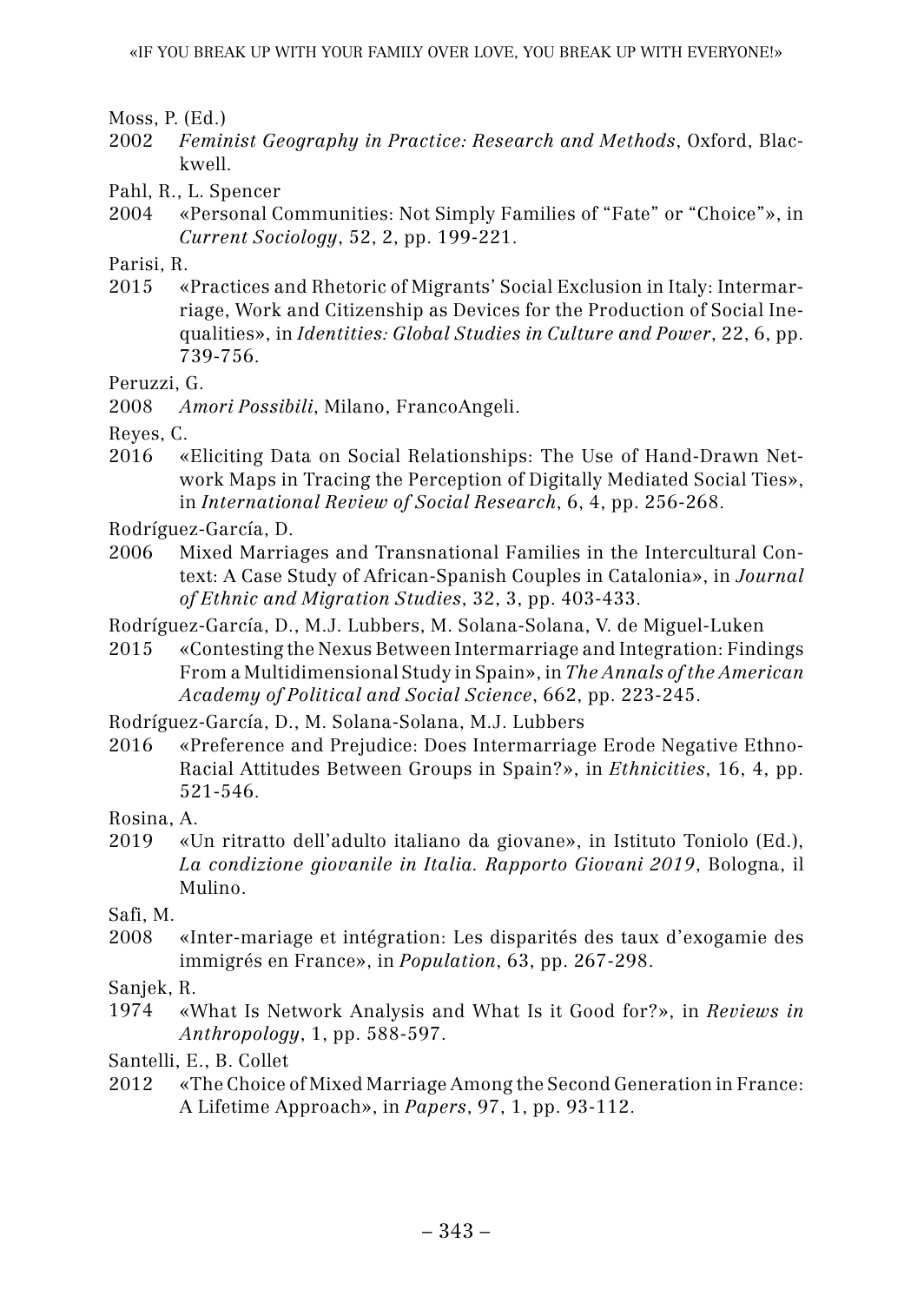Moss, P. (Ed.)

- 2002 *Feminist Geography in Practice: Research and Methods*, Oxford, Blackwell.
- Pahl, R., L. Spencer
- 2004 «Personal Communities: Not Simply Families of "Fate" or "Choice"», in *Current Sociology*, 52, 2, pp. 199-221.

Parisi, R.

2015 «Practices and Rhetoric of Migrants' Social Exclusion in Italy: Intermarriage, Work and Citizenship as Devices for the Production of Social Inequalities», in *Identities: Global Studies in Culture and Power*, 22, 6, pp. 739-756.

Peruzzi, G.

Reyes, C.

2016 «Eliciting Data on Social Relationships: The Use of Hand-Drawn Network Maps in Tracing the Perception of Digitally Mediated Social Ties», in *International Review of Social Research*, 6, 4, pp. 256-268.

Rodríguez-García, D.

2006 Mixed Marriages and Transnational Families in the Intercultural Context: A Case Study of African-Spanish Couples in Catalonia», in *Journal of Ethnic and Migration Studies*, 32, 3, pp. 403-433.

Rodríguez-García, D., M.J. Lubbers, M. Solana-Solana, V. de Miguel-Luken

2015 «Contesting the Nexus Between Intermarriage and Integration: Findings From a Multidimensional Study in Spain», in *The Annals of the American Academy of Political and Social Science*, 662, pp. 223-245.

Rodríguez-García, D., M. Solana-Solana, M.J. Lubbers

2016 «Preference and Prejudice: Does Intermarriage Erode Negative Ethno-Racial Attitudes Between Groups in Spain?», in *Ethnicities*, 16, 4, pp. 521-546.

Rosina, A.

2019 «Un ritratto dell'adulto italiano da giovane», in Istituto Toniolo (Ed.), *La condizione giovanile in Italia. Rapporto Giovani 2019*, Bologna, il Mulino.

Safi, M.

2008 «Inter-mariage et intégration: Les disparités des taux d'exogamie des immigrés en France», in *Population*, 63, pp. 267-298.

Sanjek, R.

1974 «What Is Network Analysis and What Is it Good for?», in *Reviews in Anthropology*, 1, pp. 588-597.

Santelli, E., B. Collet

2012 «The Choice of Mixed Marriage Among the Second Generation in France: A Lifetime Approach», in *Papers*, 97, 1, pp. 93-112.

<sup>2008</sup> *Amori Possibili*, Milano, FrancoAngeli.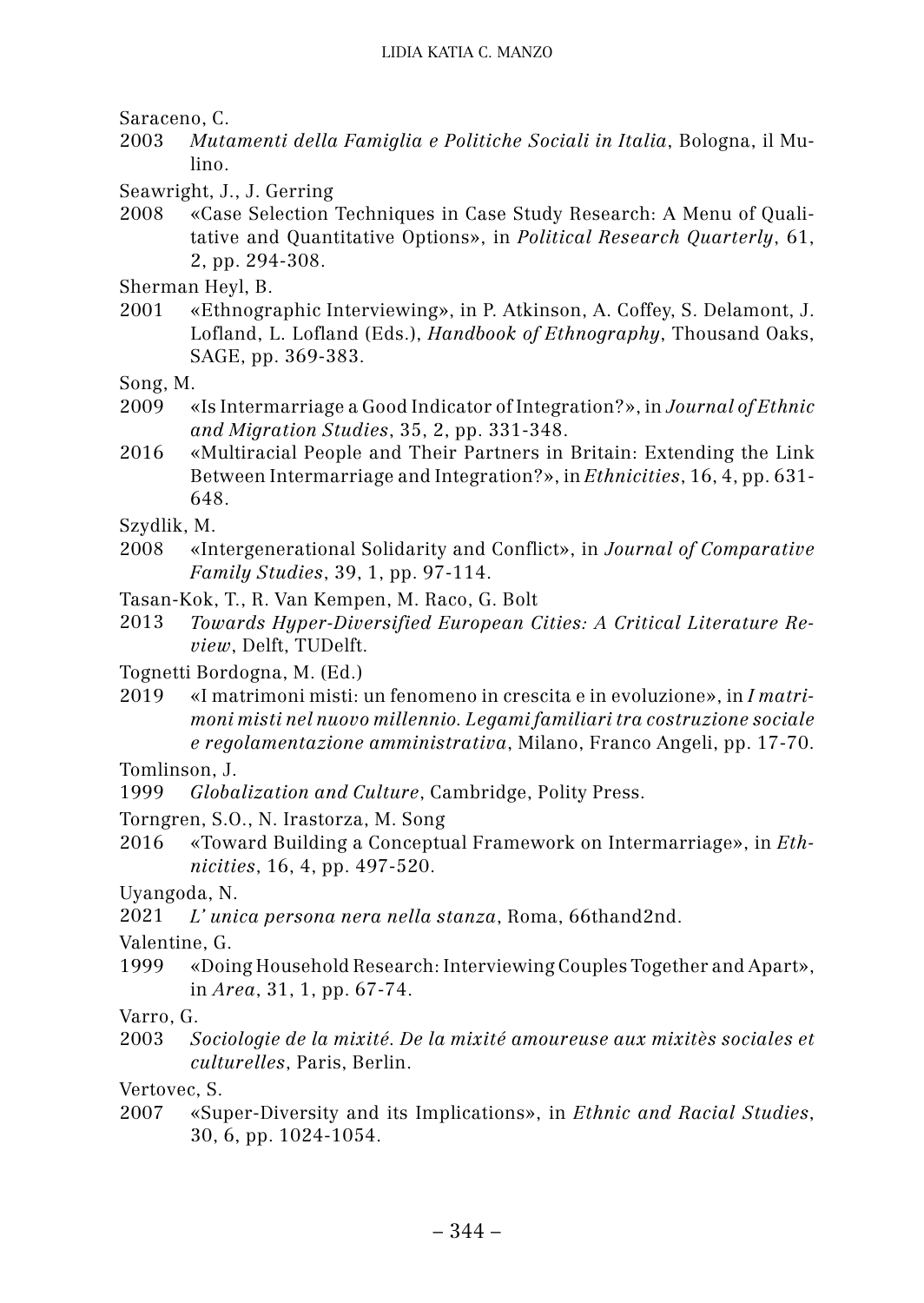Saraceno, C.

- 2003 *Mutamenti della Famiglia e Politiche Sociali in Italia*, Bologna, il Mulino.
- Seawright, J., J. Gerring
- 2008 «Case Selection Techniques in Case Study Research: A Menu of Qualitative and Quantitative Options», in *Political Research Quarterly*, 61, 2, pp. 294-308.

Sherman Heyl, B.

- 2001 «Ethnographic Interviewing», in P. Atkinson, A. Coffey, S. Delamont, J. Lofland, L. Lofland (Eds.), *Handbook of Ethnography*, Thousand Oaks, SAGE, pp. 369-383.
- Song, M.
- 2009 «Is Intermarriage a Good Indicator of Integration?», in *Journal of Ethnic and Migration Studies*, 35, 2, pp. 331-348.
- 2016 «Multiracial People and Their Partners in Britain: Extending the Link Between Intermarriage and Integration?», in *Ethnicities*, 16, 4, pp. 631- 648.
- Szydlik, M.
- 2008 «Intergenerational Solidarity and Conflict», in *Journal of Comparative Family Studies*, 39, 1, pp. 97-114.
- Tasan-Kok, T., R. Van Kempen, M. Raco, G. Bolt
- 2013 *Towards Hyper-Diversified European Cities: A Critical Literature Review*, Delft, TUDelft.
- Tognetti Bordogna, M. (Ed.)
- 2019 «I matrimoni misti: un fenomeno in crescita e in evoluzione», in *I matrimoni misti nel nuovo millennio. Legami familiari tra costruzione sociale e regolamentazione amministrativa*, Milano, Franco Angeli, pp. 17-70.

Tomlinson, J.

- 1999 *Globalization and Culture*, Cambridge, Polity Press.
- Torngren, S.O., N. Irastorza, M. Song
- 2016 «Toward Building a Conceptual Framework on Intermarriage», in *Ethnicities*, 16, 4, pp. 497-520.

Uyangoda, N.

2021 *L' unica persona nera nella stanza*, Roma, 66thand2nd.

Valentine, G.

1999 «Doing Household Research: Interviewing Couples Together and Apart», in *Area*, 31, 1, pp. 67-74.

Varro, G.

2003 *Sociologie de la mixité. De la mixité amoureuse aux mixitès sociales et culturelles*, Paris, Berlin.

Vertovec, S.

2007 «Super-Diversity and its Implications», in *Ethnic and Racial Studies*, 30, 6, pp. 1024-1054.